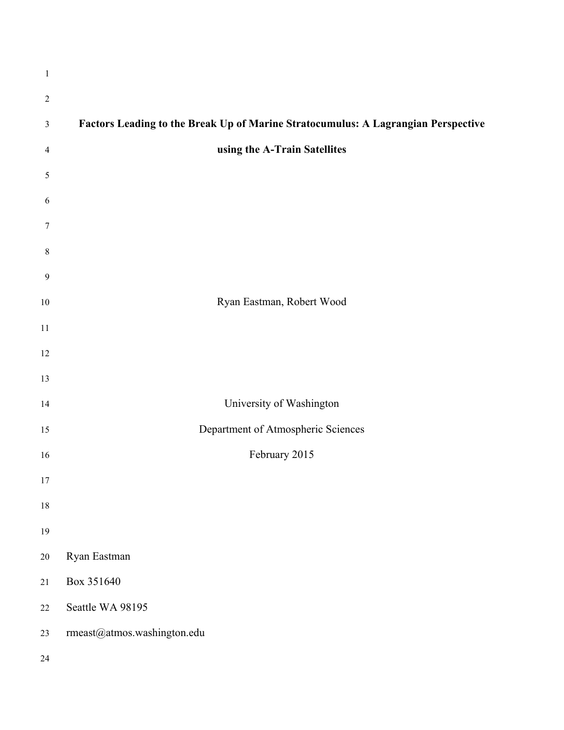| $\mathbf{1}$   |                                                                                   |
|----------------|-----------------------------------------------------------------------------------|
| $\overline{2}$ |                                                                                   |
| $\mathfrak{Z}$ | Factors Leading to the Break Up of Marine Stratocumulus: A Lagrangian Perspective |
| 4              | using the A-Train Satellites                                                      |
| 5              |                                                                                   |
| 6              |                                                                                   |
| $\tau$         |                                                                                   |
| $\,8\,$        |                                                                                   |
| $\mathbf{9}$   |                                                                                   |
| $10\,$         | Ryan Eastman, Robert Wood                                                         |
| 11             |                                                                                   |
| 12             |                                                                                   |
| 13             |                                                                                   |
| 14             | University of Washington                                                          |
| 15             | Department of Atmospheric Sciences                                                |
| 16             | February 2015                                                                     |
| 17             |                                                                                   |
| $18\,$         |                                                                                   |
| 19             |                                                                                   |
| $20\,$         | Ryan Eastman                                                                      |
| 21             | Box 351640                                                                        |
| $22\,$         | Seattle WA 98195                                                                  |
| 23             | rmeast@atmos.washington.edu                                                       |
| 24             |                                                                                   |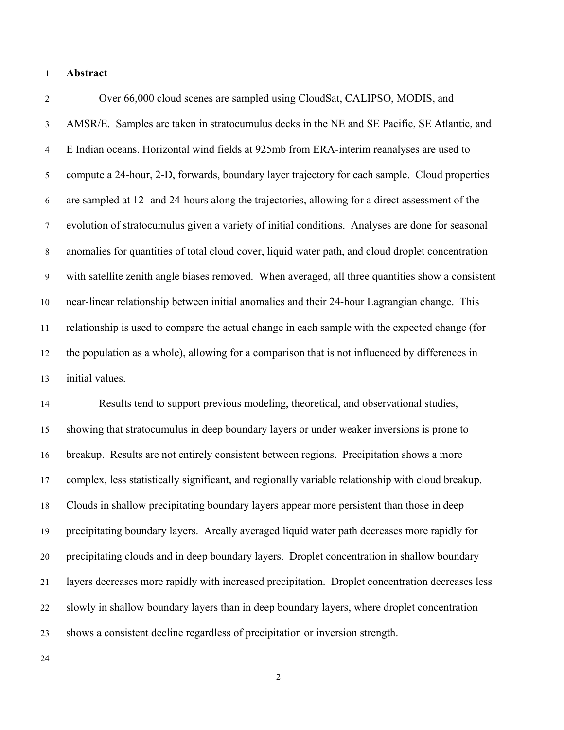## **Abstract**

 Over 66,000 cloud scenes are sampled using CloudSat, CALIPSO, MODIS, and AMSR/E. Samples are taken in stratocumulus decks in the NE and SE Pacific, SE Atlantic, and E Indian oceans. Horizontal wind fields at 925mb from ERA-interim reanalyses are used to compute a 24-hour, 2-D, forwards, boundary layer trajectory for each sample. Cloud properties are sampled at 12- and 24-hours along the trajectories, allowing for a direct assessment of the evolution of stratocumulus given a variety of initial conditions. Analyses are done for seasonal anomalies for quantities of total cloud cover, liquid water path, and cloud droplet concentration with satellite zenith angle biases removed. When averaged, all three quantities show a consistent near-linear relationship between initial anomalies and their 24-hour Lagrangian change. This relationship is used to compare the actual change in each sample with the expected change (for the population as a whole), allowing for a comparison that is not influenced by differences in initial values.

 Results tend to support previous modeling, theoretical, and observational studies, showing that stratocumulus in deep boundary layers or under weaker inversions is prone to breakup. Results are not entirely consistent between regions. Precipitation shows a more complex, less statistically significant, and regionally variable relationship with cloud breakup. Clouds in shallow precipitating boundary layers appear more persistent than those in deep precipitating boundary layers. Areally averaged liquid water path decreases more rapidly for precipitating clouds and in deep boundary layers. Droplet concentration in shallow boundary layers decreases more rapidly with increased precipitation. Droplet concentration decreases less slowly in shallow boundary layers than in deep boundary layers, where droplet concentration shows a consistent decline regardless of precipitation or inversion strength.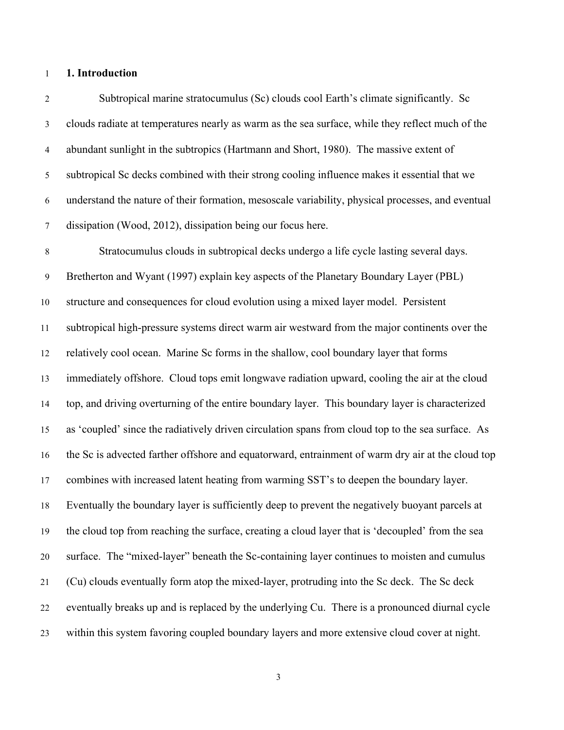## **1. Introduction**

 Subtropical marine stratocumulus (Sc) clouds cool Earth's climate significantly. Sc clouds radiate at temperatures nearly as warm as the sea surface, while they reflect much of the abundant sunlight in the subtropics (Hartmann and Short, 1980). The massive extent of subtropical Sc decks combined with their strong cooling influence makes it essential that we understand the nature of their formation, mesoscale variability, physical processes, and eventual dissipation (Wood, 2012), dissipation being our focus here.

 Stratocumulus clouds in subtropical decks undergo a life cycle lasting several days. Bretherton and Wyant (1997) explain key aspects of the Planetary Boundary Layer (PBL) structure and consequences for cloud evolution using a mixed layer model. Persistent subtropical high-pressure systems direct warm air westward from the major continents over the relatively cool ocean. Marine Sc forms in the shallow, cool boundary layer that forms immediately offshore. Cloud tops emit longwave radiation upward, cooling the air at the cloud top, and driving overturning of the entire boundary layer. This boundary layer is characterized as 'coupled' since the radiatively driven circulation spans from cloud top to the sea surface. As the Sc is advected farther offshore and equatorward, entrainment of warm dry air at the cloud top combines with increased latent heating from warming SST's to deepen the boundary layer. Eventually the boundary layer is sufficiently deep to prevent the negatively buoyant parcels at the cloud top from reaching the surface, creating a cloud layer that is 'decoupled' from the sea surface. The "mixed-layer" beneath the Sc-containing layer continues to moisten and cumulus (Cu) clouds eventually form atop the mixed-layer, protruding into the Sc deck. The Sc deck eventually breaks up and is replaced by the underlying Cu. There is a pronounced diurnal cycle within this system favoring coupled boundary layers and more extensive cloud cover at night.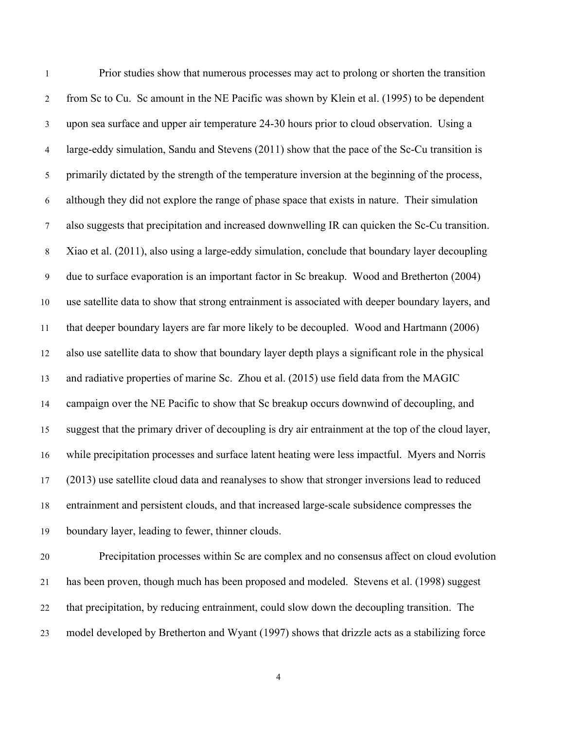Prior studies show that numerous processes may act to prolong or shorten the transition from Sc to Cu. Sc amount in the NE Pacific was shown by Klein et al. (1995) to be dependent upon sea surface and upper air temperature 24-30 hours prior to cloud observation. Using a large-eddy simulation, Sandu and Stevens (2011) show that the pace of the Sc-Cu transition is primarily dictated by the strength of the temperature inversion at the beginning of the process, although they did not explore the range of phase space that exists in nature. Their simulation also suggests that precipitation and increased downwelling IR can quicken the Sc-Cu transition. Xiao et al. (2011), also using a large-eddy simulation, conclude that boundary layer decoupling due to surface evaporation is an important factor in Sc breakup. Wood and Bretherton (2004) use satellite data to show that strong entrainment is associated with deeper boundary layers, and that deeper boundary layers are far more likely to be decoupled. Wood and Hartmann (2006) also use satellite data to show that boundary layer depth plays a significant role in the physical and radiative properties of marine Sc. Zhou et al. (2015) use field data from the MAGIC campaign over the NE Pacific to show that Sc breakup occurs downwind of decoupling, and suggest that the primary driver of decoupling is dry air entrainment at the top of the cloud layer, while precipitation processes and surface latent heating were less impactful. Myers and Norris (2013) use satellite cloud data and reanalyses to show that stronger inversions lead to reduced entrainment and persistent clouds, and that increased large-scale subsidence compresses the boundary layer, leading to fewer, thinner clouds. Precipitation processes within Sc are complex and no consensus affect on cloud evolution

 has been proven, though much has been proposed and modeled. Stevens et al. (1998) suggest that precipitation, by reducing entrainment, could slow down the decoupling transition. The model developed by Bretherton and Wyant (1997) shows that drizzle acts as a stabilizing force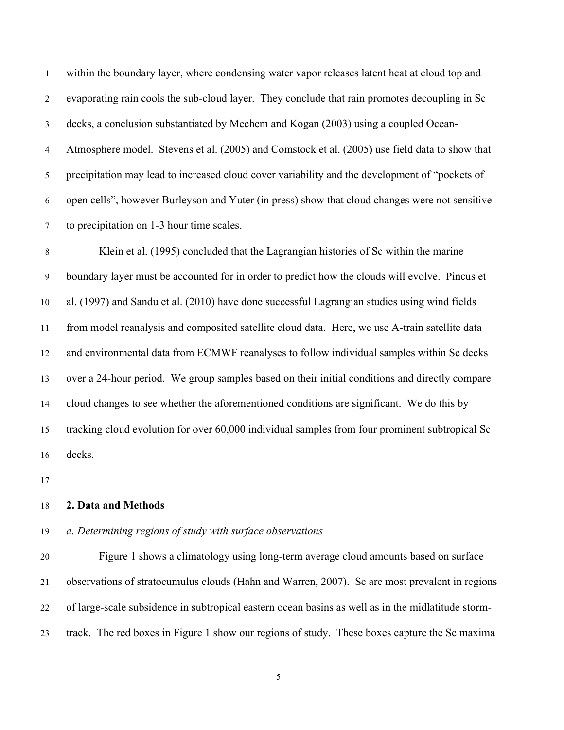within the boundary layer, where condensing water vapor releases latent heat at cloud top and evaporating rain cools the sub-cloud layer. They conclude that rain promotes decoupling in Sc decks, a conclusion substantiated by Mechem and Kogan (2003) using a coupled Ocean- Atmosphere model. Stevens et al. (2005) and Comstock et al. (2005) use field data to show that precipitation may lead to increased cloud cover variability and the development of "pockets of open cells", however Burleyson and Yuter (in press) show that cloud changes were not sensitive to precipitation on 1-3 hour time scales.

 Klein et al. (1995) concluded that the Lagrangian histories of Sc within the marine boundary layer must be accounted for in order to predict how the clouds will evolve. Pincus et al. (1997) and Sandu et al. (2010) have done successful Lagrangian studies using wind fields from model reanalysis and composited satellite cloud data. Here, we use A-train satellite data and environmental data from ECMWF reanalyses to follow individual samples within Sc decks over a 24-hour period. We group samples based on their initial conditions and directly compare cloud changes to see whether the aforementioned conditions are significant. We do this by tracking cloud evolution for over 60,000 individual samples from four prominent subtropical Sc decks.

## **2. Data and Methods**

## *a. Determining regions of study with surface observations*

 Figure 1 shows a climatology using long-term average cloud amounts based on surface observations of stratocumulus clouds (Hahn and Warren, 2007). Sc are most prevalent in regions of large-scale subsidence in subtropical eastern ocean basins as well as in the midlatitude storm-track. The red boxes in Figure 1 show our regions of study. These boxes capture the Sc maxima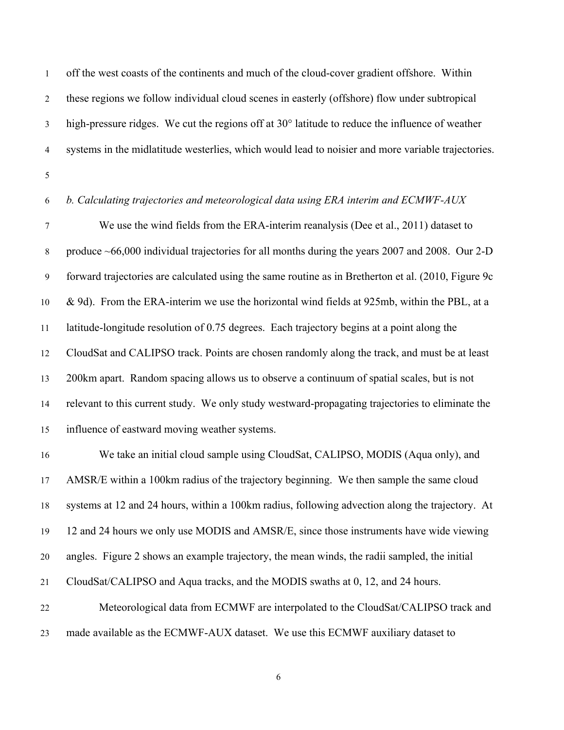off the west coasts of the continents and much of the cloud-cover gradient offshore. Within these regions we follow individual cloud scenes in easterly (offshore) flow under subtropical high-pressure ridges. We cut the regions off at 30° latitude to reduce the influence of weather systems in the midlatitude westerlies, which would lead to noisier and more variable trajectories.

## *b. Calculating trajectories and meteorological data using ERA interim and ECMWF-AUX*

 We use the wind fields from the ERA-interim reanalysis (Dee et al., 2011) dataset to 8 produce ~66,000 individual trajectories for all months during the years 2007 and 2008. Our 2-D forward trajectories are calculated using the same routine as in Bretherton et al. (2010, Figure 9c & 9d). From the ERA-interim we use the horizontal wind fields at 925mb, within the PBL, at a latitude-longitude resolution of 0.75 degrees. Each trajectory begins at a point along the CloudSat and CALIPSO track. Points are chosen randomly along the track, and must be at least 200km apart. Random spacing allows us to observe a continuum of spatial scales, but is not relevant to this current study. We only study westward-propagating trajectories to eliminate the influence of eastward moving weather systems.

 We take an initial cloud sample using CloudSat, CALIPSO, MODIS (Aqua only), and AMSR/E within a 100km radius of the trajectory beginning. We then sample the same cloud systems at 12 and 24 hours, within a 100km radius, following advection along the trajectory. At 12 and 24 hours we only use MODIS and AMSR/E, since those instruments have wide viewing angles. Figure 2 shows an example trajectory, the mean winds, the radii sampled, the initial CloudSat/CALIPSO and Aqua tracks, and the MODIS swaths at 0, 12, and 24 hours. Meteorological data from ECMWF are interpolated to the CloudSat/CALIPSO track and

made available as the ECMWF-AUX dataset. We use this ECMWF auxiliary dataset to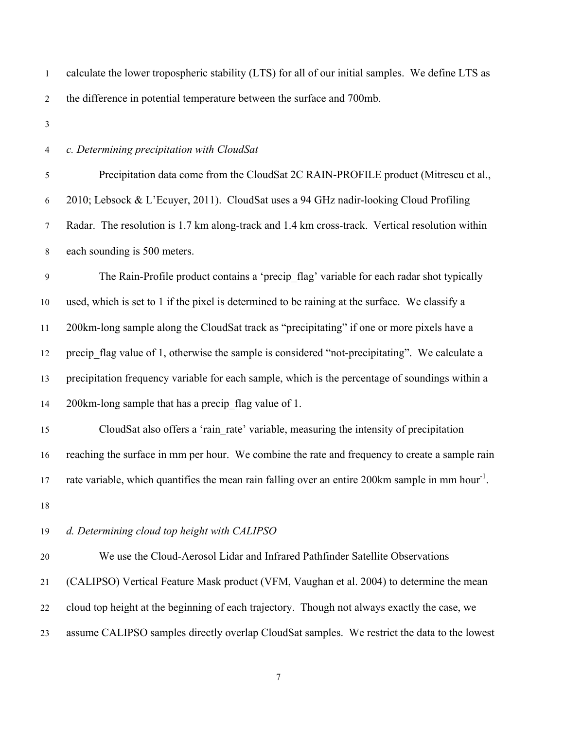| $\mathbf{1}$   | calculate the lower tropospheric stability (LTS) for all of our initial samples. We define LTS as           |
|----------------|-------------------------------------------------------------------------------------------------------------|
| $\overline{2}$ | the difference in potential temperature between the surface and 700mb.                                      |
| $\mathfrak{Z}$ |                                                                                                             |
| 4              | c. Determining precipitation with CloudSat                                                                  |
| 5              | Precipitation data come from the CloudSat 2C RAIN-PROFILE product (Mitrescu et al.,                         |
| 6              | 2010; Lebsock & L'Ecuyer, 2011). CloudSat uses a 94 GHz nadir-looking Cloud Profiling                       |
| $\tau$         | Radar. The resolution is 1.7 km along-track and 1.4 km cross-track. Vertical resolution within              |
| $\,8\,$        | each sounding is 500 meters.                                                                                |
| 9              | The Rain-Profile product contains a 'precip_flag' variable for each radar shot typically                    |
| 10             | used, which is set to 1 if the pixel is determined to be raining at the surface. We classify a              |
| 11             | 200km-long sample along the CloudSat track as "precipitating" if one or more pixels have a                  |
| 12             | precip_flag value of 1, otherwise the sample is considered "not-precipitating". We calculate a              |
| 13             | precipitation frequency variable for each sample, which is the percentage of soundings within a             |
| 14             | 200km-long sample that has a precip_flag value of 1.                                                        |
| 15             | CloudSat also offers a 'rain_rate' variable, measuring the intensity of precipitation                       |
| 16             | reaching the surface in mm per hour. We combine the rate and frequency to create a sample rain              |
| 17             | rate variable, which quantifies the mean rain falling over an entire 200km sample in mm hour <sup>1</sup> . |
| 18             |                                                                                                             |
| 19             | d. Determining cloud top height with CALIPSO                                                                |
| $20\,$         | We use the Cloud-Aerosol Lidar and Infrared Pathfinder Satellite Observations                               |
| 21             | (CALIPSO) Vertical Feature Mask product (VFM, Vaughan et al. 2004) to determine the mean                    |
| 22             | cloud top height at the beginning of each trajectory. Though not always exactly the case, we                |
| 23             | assume CALIPSO samples directly overlap CloudSat samples. We restrict the data to the lowest                |
|                |                                                                                                             |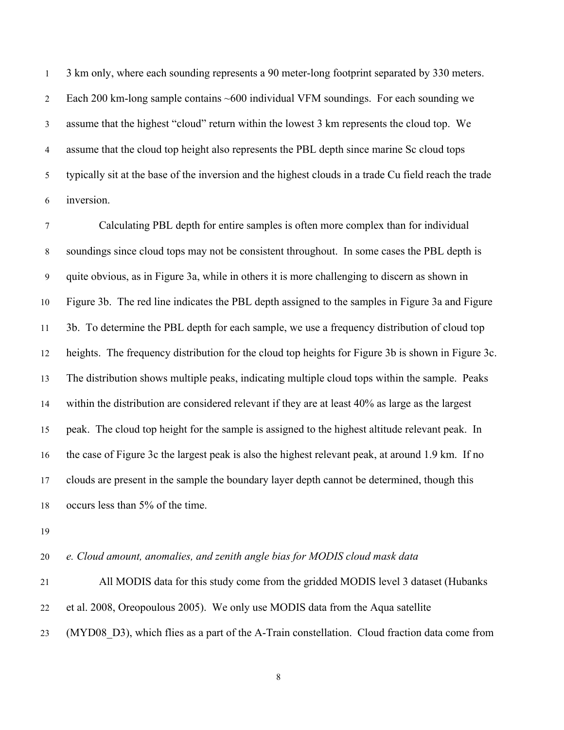3 km only, where each sounding represents a 90 meter-long footprint separated by 330 meters. Each 200 km-long sample contains ~600 individual VFM soundings. For each sounding we assume that the highest "cloud" return within the lowest 3 km represents the cloud top. We assume that the cloud top height also represents the PBL depth since marine Sc cloud tops typically sit at the base of the inversion and the highest clouds in a trade Cu field reach the trade inversion.

 Calculating PBL depth for entire samples is often more complex than for individual soundings since cloud tops may not be consistent throughout. In some cases the PBL depth is quite obvious, as in Figure 3a, while in others it is more challenging to discern as shown in Figure 3b. The red line indicates the PBL depth assigned to the samples in Figure 3a and Figure 3b. To determine the PBL depth for each sample, we use a frequency distribution of cloud top heights. The frequency distribution for the cloud top heights for Figure 3b is shown in Figure 3c. The distribution shows multiple peaks, indicating multiple cloud tops within the sample. Peaks within the distribution are considered relevant if they are at least 40% as large as the largest peak. The cloud top height for the sample is assigned to the highest altitude relevant peak. In the case of Figure 3c the largest peak is also the highest relevant peak, at around 1.9 km. If no clouds are present in the sample the boundary layer depth cannot be determined, though this occurs less than 5% of the time.

*e. Cloud amount, anomalies, and zenith angle bias for MODIS cloud mask data*

 All MODIS data for this study come from the gridded MODIS level 3 dataset (Hubanks et al. 2008, Oreopoulous 2005). We only use MODIS data from the Aqua satellite (MYD08\_D3), which flies as a part of the A-Train constellation. Cloud fraction data come from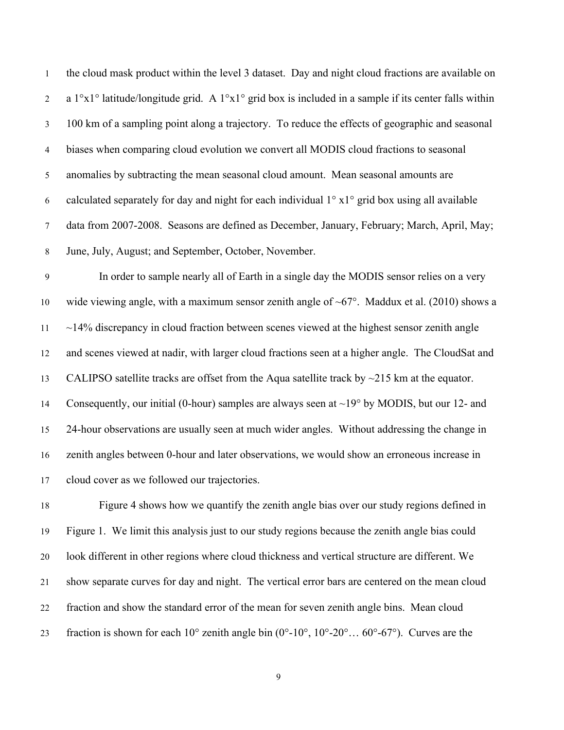the cloud mask product within the level 3 dataset. Day and night cloud fractions are available on 2 a  $1^{\circ}x1^{\circ}$  latitude/longitude grid. A  $1^{\circ}x1^{\circ}$  grid box is included in a sample if its center falls within 100 km of a sampling point along a trajectory. To reduce the effects of geographic and seasonal biases when comparing cloud evolution we convert all MODIS cloud fractions to seasonal anomalies by subtracting the mean seasonal cloud amount. Mean seasonal amounts are 6 calculated separately for day and night for each individual  $1^\circ$  x $1^\circ$  grid box using all available data from 2007-2008. Seasons are defined as December, January, February; March, April, May; June, July, August; and September, October, November.

 In order to sample nearly all of Earth in a single day the MODIS sensor relies on a very 10 wide viewing angle, with a maximum sensor zenith angle of  $\sim 67^\circ$ . Maddux et al. (2010) shows a  $11 \sim 14\%$  discrepancy in cloud fraction between scenes viewed at the highest sensor zenith angle and scenes viewed at nadir, with larger cloud fractions seen at a higher angle. The CloudSat and 13 CALIPSO satellite tracks are offset from the Aqua satellite track by  $\sim$ 215 km at the equator. Consequently, our initial (0-hour) samples are always seen at ~19° by MODIS, but our 12- and 24-hour observations are usually seen at much wider angles. Without addressing the change in zenith angles between 0-hour and later observations, we would show an erroneous increase in cloud cover as we followed our trajectories.

 Figure 4 shows how we quantify the zenith angle bias over our study regions defined in Figure 1. We limit this analysis just to our study regions because the zenith angle bias could look different in other regions where cloud thickness and vertical structure are different. We show separate curves for day and night. The vertical error bars are centered on the mean cloud fraction and show the standard error of the mean for seven zenith angle bins. Mean cloud 23 fraction is shown for each  $10^{\circ}$  zenith angle bin  $(0^{\circ} - 10^{\circ}, 10^{\circ} - 20^{\circ} \dots 60^{\circ} - 67^{\circ})$ . Curves are the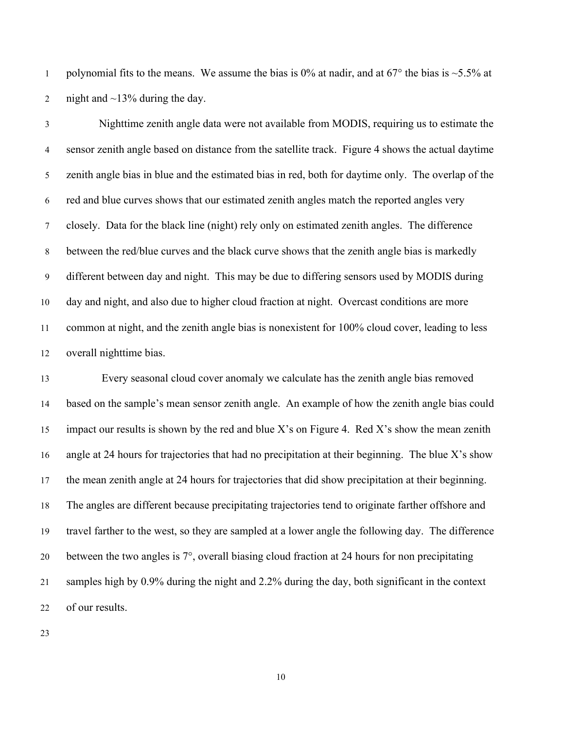1 polynomial fits to the means. We assume the bias is 0% at nadir, and at  $67^{\circ}$  the bias is  $\sim$  5.5% at 2 night and  $\sim$ 13% during the day.

 Nighttime zenith angle data were not available from MODIS, requiring us to estimate the sensor zenith angle based on distance from the satellite track. Figure 4 shows the actual daytime zenith angle bias in blue and the estimated bias in red, both for daytime only. The overlap of the red and blue curves shows that our estimated zenith angles match the reported angles very closely. Data for the black line (night) rely only on estimated zenith angles. The difference between the red/blue curves and the black curve shows that the zenith angle bias is markedly different between day and night. This may be due to differing sensors used by MODIS during day and night, and also due to higher cloud fraction at night. Overcast conditions are more common at night, and the zenith angle bias is nonexistent for 100% cloud cover, leading to less overall nighttime bias.

 Every seasonal cloud cover anomaly we calculate has the zenith angle bias removed based on the sample's mean sensor zenith angle. An example of how the zenith angle bias could impact our results is shown by the red and blue X's on Figure 4. Red X's show the mean zenith angle at 24 hours for trajectories that had no precipitation at their beginning. The blue X's show the mean zenith angle at 24 hours for trajectories that did show precipitation at their beginning. The angles are different because precipitating trajectories tend to originate farther offshore and travel farther to the west, so they are sampled at a lower angle the following day. The difference between the two angles is 7°, overall biasing cloud fraction at 24 hours for non precipitating samples high by 0.9% during the night and 2.2% during the day, both significant in the context of our results.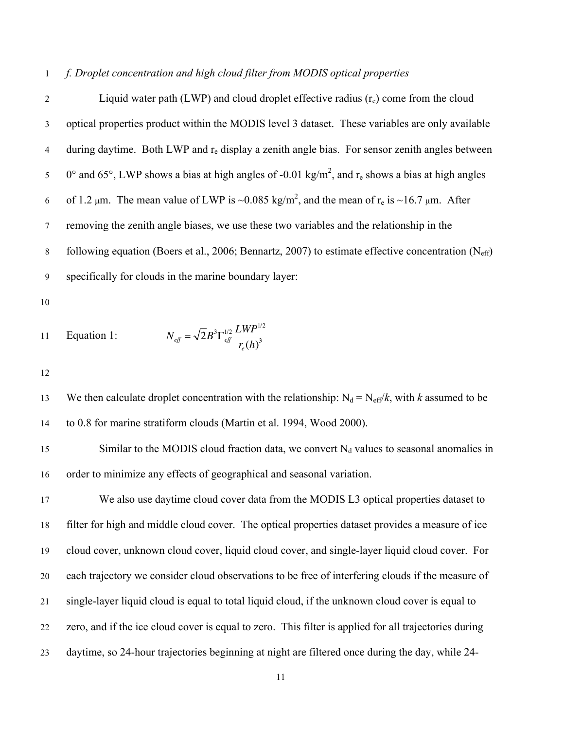## 1 *f. Droplet concentration and high cloud filter from MODIS optical properties*

2 Liquid water path (LWP) and cloud droplet effective radius  $(r_e)$  come from the cloud 3 optical properties product within the MODIS level 3 dataset. These variables are only available 4 during daytime. Both LWP and  $r_e$  display a zenith angle bias. For sensor zenith angles between  $0^{\circ}$  and 65°, LWP shows a bias at high angles of -0.01 kg/m<sup>2</sup>, and r<sub>e</sub> shows a bias at high angles 6 of 1.2  $\mu$ m. The mean value of LWP is ~0.085 kg/m<sup>2</sup>, and the mean of r<sub>e</sub> is ~16.7  $\mu$ m. After 7 removing the zenith angle biases, we use these two variables and the relationship in the 8 following equation (Boers et al., 2006; Bennartz, 2007) to estimate effective concentration (N<sub>eff</sub>) 9 specifically for clouds in the marine boundary layer:

10

11 Equation 1: 
$$
N_{\text{eff}} = \sqrt{2}B^3 \Gamma_{\text{eff}}^{1/2} \frac{LWP^{1/2}}{r_e(h)^3}
$$

12

13 We then calculate droplet concentration with the relationship:  $N_d = N_{eff}/k$ , with *k* assumed to be 14 to 0.8 for marine stratiform clouds (Martin et al. 1994, Wood 2000).

15 Similar to the MODIS cloud fraction data, we convert  $N_d$  values to seasonal anomalies in 16 order to minimize any effects of geographical and seasonal variation.

 We also use daytime cloud cover data from the MODIS L3 optical properties dataset to filter for high and middle cloud cover. The optical properties dataset provides a measure of ice cloud cover, unknown cloud cover, liquid cloud cover, and single-layer liquid cloud cover. For each trajectory we consider cloud observations to be free of interfering clouds if the measure of single-layer liquid cloud is equal to total liquid cloud, if the unknown cloud cover is equal to zero, and if the ice cloud cover is equal to zero. This filter is applied for all trajectories during daytime, so 24-hour trajectories beginning at night are filtered once during the day, while 24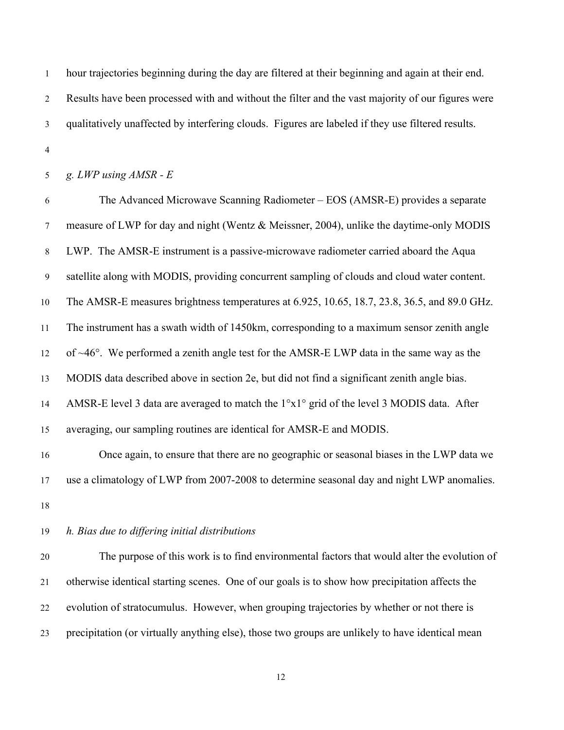hour trajectories beginning during the day are filtered at their beginning and again at their end. Results have been processed with and without the filter and the vast majority of our figures were qualitatively unaffected by interfering clouds. Figures are labeled if they use filtered results.

*g. LWP using AMSR - E*

 The Advanced Microwave Scanning Radiometer – EOS (AMSR-E) provides a separate measure of LWP for day and night (Wentz & Meissner, 2004), unlike the daytime-only MODIS LWP. The AMSR-E instrument is a passive-microwave radiometer carried aboard the Aqua satellite along with MODIS, providing concurrent sampling of clouds and cloud water content. The AMSR-E measures brightness temperatures at 6.925, 10.65, 18.7, 23.8, 36.5, and 89.0 GHz. The instrument has a swath width of 1450km, corresponding to a maximum sensor zenith angle of ~46°. We performed a zenith angle test for the AMSR-E LWP data in the same way as the MODIS data described above in section 2e, but did not find a significant zenith angle bias. AMSR-E level 3 data are averaged to match the 1°x1° grid of the level 3 MODIS data. After averaging, our sampling routines are identical for AMSR-E and MODIS.

 Once again, to ensure that there are no geographic or seasonal biases in the LWP data we use a climatology of LWP from 2007-2008 to determine seasonal day and night LWP anomalies. 

## *h. Bias due to differing initial distributions*

 The purpose of this work is to find environmental factors that would alter the evolution of otherwise identical starting scenes. One of our goals is to show how precipitation affects the evolution of stratocumulus. However, when grouping trajectories by whether or not there is precipitation (or virtually anything else), those two groups are unlikely to have identical mean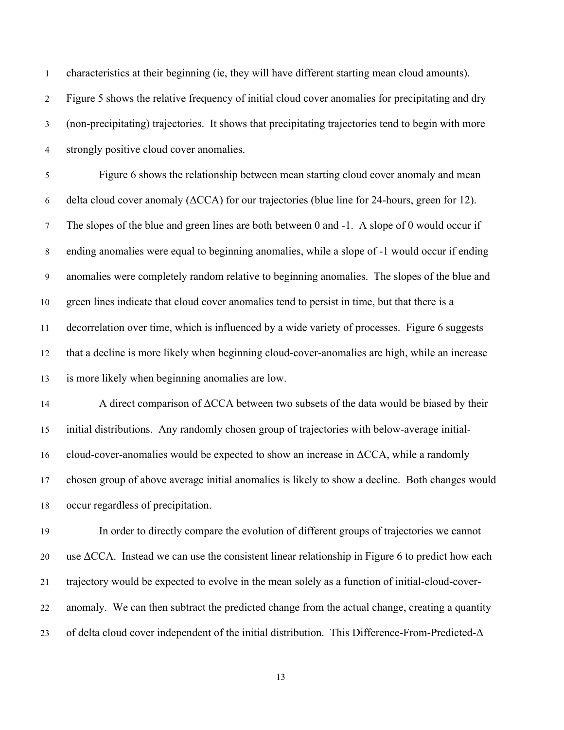characteristics at their beginning (ie, they will have different starting mean cloud amounts).

 Figure 5 shows the relative frequency of initial cloud cover anomalies for precipitating and dry (non-precipitating) trajectories. It shows that precipitating trajectories tend to begin with more strongly positive cloud cover anomalies.

 Figure 6 shows the relationship between mean starting cloud cover anomaly and mean 6 delta cloud cover anomaly  $(\triangle CCA)$  for our trajectories (blue line for 24-hours, green for 12). The slopes of the blue and green lines are both between 0 and -1. A slope of 0 would occur if ending anomalies were equal to beginning anomalies, while a slope of -1 would occur if ending anomalies were completely random relative to beginning anomalies. The slopes of the blue and green lines indicate that cloud cover anomalies tend to persist in time, but that there is a decorrelation over time, which is influenced by a wide variety of processes. Figure 6 suggests that a decline is more likely when beginning cloud-cover-anomalies are high, while an increase is more likely when beginning anomalies are low.

 A direct comparison of ΔCCA between two subsets of the data would be biased by their initial distributions. Any randomly chosen group of trajectories with below-average initial-16 cloud-cover-anomalies would be expected to show an increase in  $\Delta CCA$ , while a randomly chosen group of above average initial anomalies is likely to show a decline. Both changes would occur regardless of precipitation.

 In order to directly compare the evolution of different groups of trajectories we cannot use ΔCCA. Instead we can use the consistent linear relationship in Figure 6 to predict how each trajectory would be expected to evolve in the mean solely as a function of initial-cloud-cover- anomaly. We can then subtract the predicted change from the actual change, creating a quantity of delta cloud cover independent of the initial distribution. This Difference-From-Predicted-Δ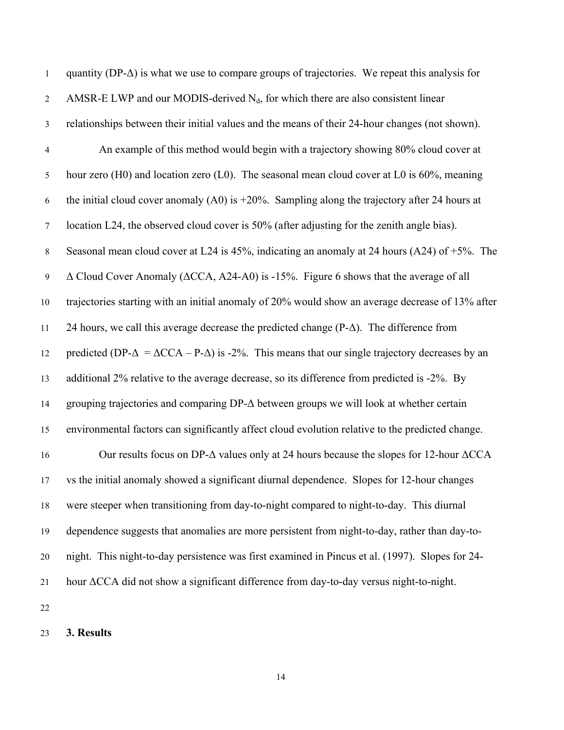| $\mathbf{1}$     | quantity ( $DP-\Delta$ ) is what we use to compare groups of trajectories. We repeat this analysis for          |
|------------------|-----------------------------------------------------------------------------------------------------------------|
| $\sqrt{2}$       | AMSR-E LWP and our MODIS-derived $N_d$ , for which there are also consistent linear                             |
| $\mathfrak{Z}$   | relationships between their initial values and the means of their 24-hour changes (not shown).                  |
| $\overline{4}$   | An example of this method would begin with a trajectory showing 80% cloud cover at                              |
| 5                | hour zero (H0) and location zero (L0). The seasonal mean cloud cover at L0 is 60%, meaning                      |
| 6                | the initial cloud cover anomaly (A0) is $+20\%$ . Sampling along the trajectory after 24 hours at               |
| $\boldsymbol{7}$ | location L24, the observed cloud cover is 50% (after adjusting for the zenith angle bias).                      |
| $\,8\,$          | Seasonal mean cloud cover at L24 is 45%, indicating an anomaly at 24 hours (A24) of $+5\%$ . The                |
| $\overline{9}$   | $\Delta$ Cloud Cover Anomaly ( $\Delta CCA$ , A24-A0) is -15%. Figure 6 shows that the average of all           |
| 10               | trajectories starting with an initial anomaly of 20% would show an average decrease of 13% after                |
| 11               | 24 hours, we call this average decrease the predicted change $(P-\Delta)$ . The difference from                 |
| 12               | predicted (DP- $\Delta = \Delta CCA - P-\Delta$ ) is -2%. This means that our single trajectory decreases by an |
| 13               | additional 2% relative to the average decrease, so its difference from predicted is -2%. By                     |
| 14               | grouping trajectories and comparing $DP-\Delta$ between groups we will look at whether certain                  |
| 15               | environmental factors can significantly affect cloud evolution relative to the predicted change.                |
| 16               | Our results focus on DP- $\Delta$ values only at 24 hours because the slopes for 12-hour $\Delta CCA$           |
| 17               | vs the initial anomaly showed a significant diurnal dependence. Slopes for 12-hour changes                      |
| 18               | were steeper when transitioning from day-to-night compared to night-to-day. This diurnal                        |
| 19               | dependence suggests that anomalies are more persistent from night-to-day, rather than day-to-                   |
| 20               | night. This night-to-day persistence was first examined in Pincus et al. (1997). Slopes for 24-                 |
| 21               | hour ACCA did not show a significant difference from day-to-day versus night-to-night.                          |
| 22               |                                                                                                                 |

# **3. Results**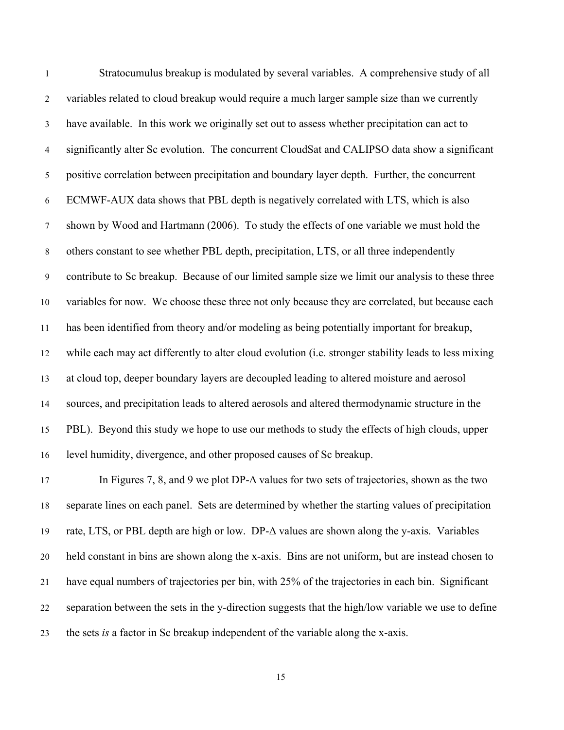Stratocumulus breakup is modulated by several variables. A comprehensive study of all variables related to cloud breakup would require a much larger sample size than we currently have available. In this work we originally set out to assess whether precipitation can act to significantly alter Sc evolution. The concurrent CloudSat and CALIPSO data show a significant positive correlation between precipitation and boundary layer depth. Further, the concurrent ECMWF-AUX data shows that PBL depth is negatively correlated with LTS, which is also shown by Wood and Hartmann (2006). To study the effects of one variable we must hold the others constant to see whether PBL depth, precipitation, LTS, or all three independently contribute to Sc breakup. Because of our limited sample size we limit our analysis to these three variables for now. We choose these three not only because they are correlated, but because each has been identified from theory and/or modeling as being potentially important for breakup, while each may act differently to alter cloud evolution (i.e. stronger stability leads to less mixing at cloud top, deeper boundary layers are decoupled leading to altered moisture and aerosol sources, and precipitation leads to altered aerosols and altered thermodynamic structure in the PBL). Beyond this study we hope to use our methods to study the effects of high clouds, upper level humidity, divergence, and other proposed causes of Sc breakup.

17 In Figures 7, 8, and 9 we plot DP- $\Delta$  values for two sets of trajectories, shown as the two separate lines on each panel. Sets are determined by whether the starting values of precipitation rate, LTS, or PBL depth are high or low. DP-Δ values are shown along the y-axis. Variables held constant in bins are shown along the x-axis. Bins are not uniform, but are instead chosen to have equal numbers of trajectories per bin, with 25% of the trajectories in each bin. Significant separation between the sets in the y-direction suggests that the high/low variable we use to define the sets *is* a factor in Sc breakup independent of the variable along the x-axis.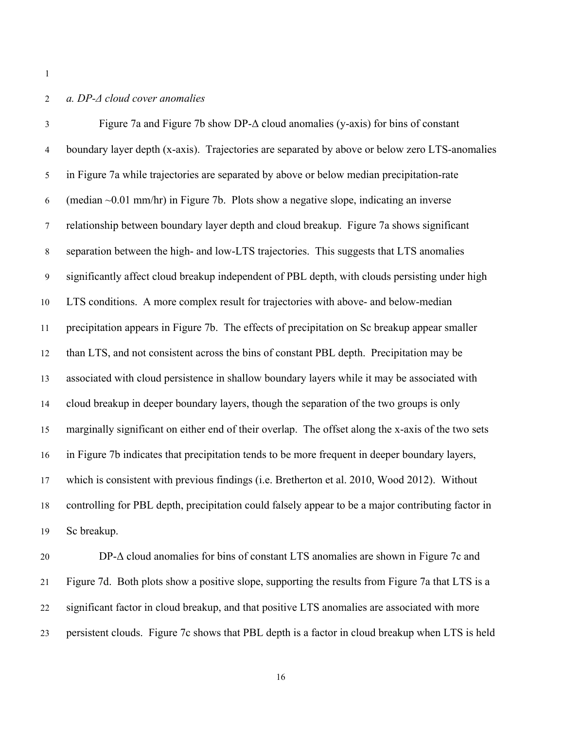## *a. DP-Δ cloud cover anomalies*

 Figure 7a and Figure 7b show DP-Δ cloud anomalies (y-axis) for bins of constant boundary layer depth (x-axis). Trajectories are separated by above or below zero LTS-anomalies in Figure 7a while trajectories are separated by above or below median precipitation-rate 6 (median  $\sim$  0.01 mm/hr) in Figure 7b. Plots show a negative slope, indicating an inverse relationship between boundary layer depth and cloud breakup. Figure 7a shows significant separation between the high- and low-LTS trajectories. This suggests that LTS anomalies significantly affect cloud breakup independent of PBL depth, with clouds persisting under high LTS conditions. A more complex result for trajectories with above- and below-median precipitation appears in Figure 7b. The effects of precipitation on Sc breakup appear smaller than LTS, and not consistent across the bins of constant PBL depth. Precipitation may be associated with cloud persistence in shallow boundary layers while it may be associated with cloud breakup in deeper boundary layers, though the separation of the two groups is only marginally significant on either end of their overlap. The offset along the x-axis of the two sets in Figure 7b indicates that precipitation tends to be more frequent in deeper boundary layers, which is consistent with previous findings (i.e. Bretherton et al. 2010, Wood 2012). Without controlling for PBL depth, precipitation could falsely appear to be a major contributing factor in Sc breakup.

 DP-Δ cloud anomalies for bins of constant LTS anomalies are shown in Figure 7c and Figure 7d. Both plots show a positive slope, supporting the results from Figure 7a that LTS is a significant factor in cloud breakup, and that positive LTS anomalies are associated with more persistent clouds. Figure 7c shows that PBL depth is a factor in cloud breakup when LTS is held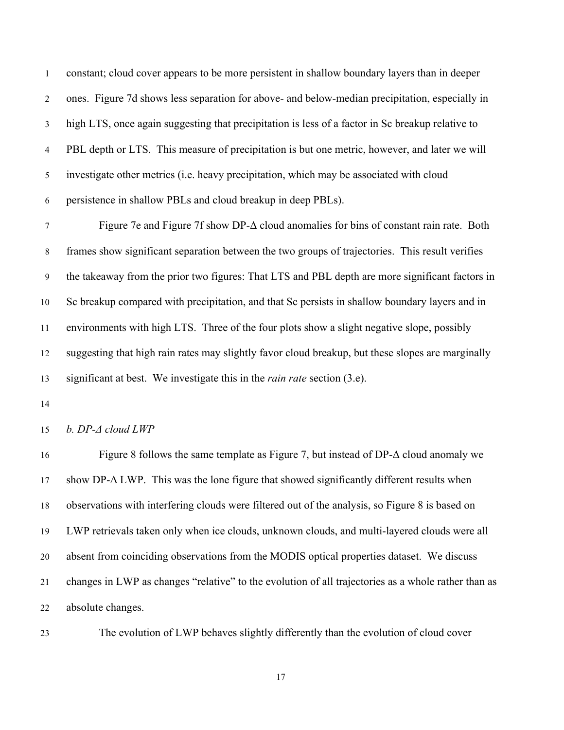constant; cloud cover appears to be more persistent in shallow boundary layers than in deeper ones. Figure 7d shows less separation for above- and below-median precipitation, especially in high LTS, once again suggesting that precipitation is less of a factor in Sc breakup relative to PBL depth or LTS. This measure of precipitation is but one metric, however, and later we will investigate other metrics (i.e. heavy precipitation, which may be associated with cloud persistence in shallow PBLs and cloud breakup in deep PBLs).

 Figure 7e and Figure 7f show DP-Δ cloud anomalies for bins of constant rain rate. Both frames show significant separation between the two groups of trajectories. This result verifies the takeaway from the prior two figures: That LTS and PBL depth are more significant factors in Sc breakup compared with precipitation, and that Sc persists in shallow boundary layers and in environments with high LTS. Three of the four plots show a slight negative slope, possibly suggesting that high rain rates may slightly favor cloud breakup, but these slopes are marginally significant at best. We investigate this in the *rain rate* section (3.e).

*b. DP-Δ cloud LWP*

 Figure 8 follows the same template as Figure 7, but instead of DP-Δ cloud anomaly we show DP-Δ LWP. This was the lone figure that showed significantly different results when observations with interfering clouds were filtered out of the analysis, so Figure 8 is based on LWP retrievals taken only when ice clouds, unknown clouds, and multi-layered clouds were all absent from coinciding observations from the MODIS optical properties dataset. We discuss changes in LWP as changes "relative" to the evolution of all trajectories as a whole rather than as absolute changes.

The evolution of LWP behaves slightly differently than the evolution of cloud cover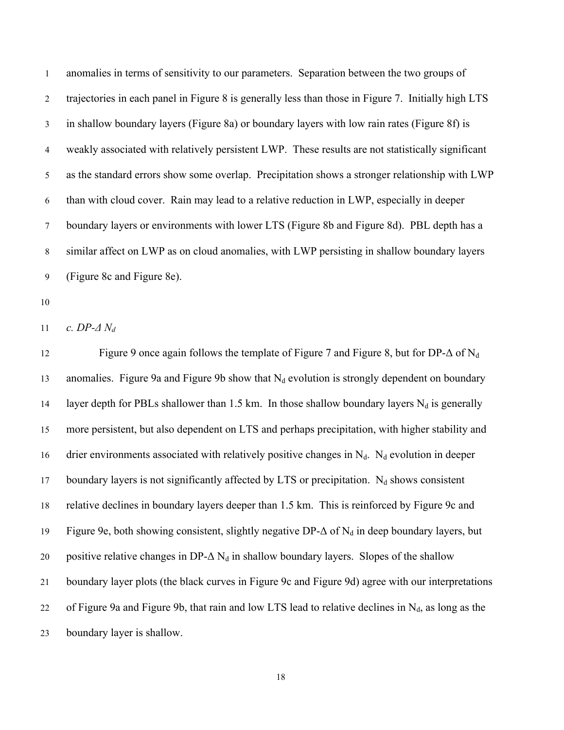anomalies in terms of sensitivity to our parameters. Separation between the two groups of trajectories in each panel in Figure 8 is generally less than those in Figure 7. Initially high LTS in shallow boundary layers (Figure 8a) or boundary layers with low rain rates (Figure 8f) is weakly associated with relatively persistent LWP. These results are not statistically significant as the standard errors show some overlap. Precipitation shows a stronger relationship with LWP than with cloud cover. Rain may lead to a relative reduction in LWP, especially in deeper boundary layers or environments with lower LTS (Figure 8b and Figure 8d). PBL depth has a similar affect on LWP as on cloud anomalies, with LWP persisting in shallow boundary layers (Figure 8c and Figure 8e).

*c. DP-Δ Nd*

12 Figure 9 once again follows the template of Figure 7 and Figure 8, but for DP- $\Delta$  of N<sub>d</sub> 13 anomalies. Figure 9a and Figure 9b show that  $N_d$  evolution is strongly dependent on boundary 14 layer depth for PBLs shallower than 1.5 km. In those shallow boundary layers  $N_d$  is generally more persistent, but also dependent on LTS and perhaps precipitation, with higher stability and 16 drier environments associated with relatively positive changes in  $N_d$ .  $N_d$  evolution in deeper 17 boundary layers is not significantly affected by LTS or precipitation.  $N_d$  shows consistent relative declines in boundary layers deeper than 1.5 km. This is reinforced by Figure 9c and 19 Figure 9e, both showing consistent, slightly negative DP- $\Delta$  of N<sub>d</sub> in deep boundary layers, but 20 positive relative changes in DP- $\Delta N_d$  in shallow boundary layers. Slopes of the shallow boundary layer plots (the black curves in Figure 9c and Figure 9d) agree with our interpretations 22 of Figure 9a and Figure 9b, that rain and low LTS lead to relative declines in  $N_d$ , as long as the boundary layer is shallow.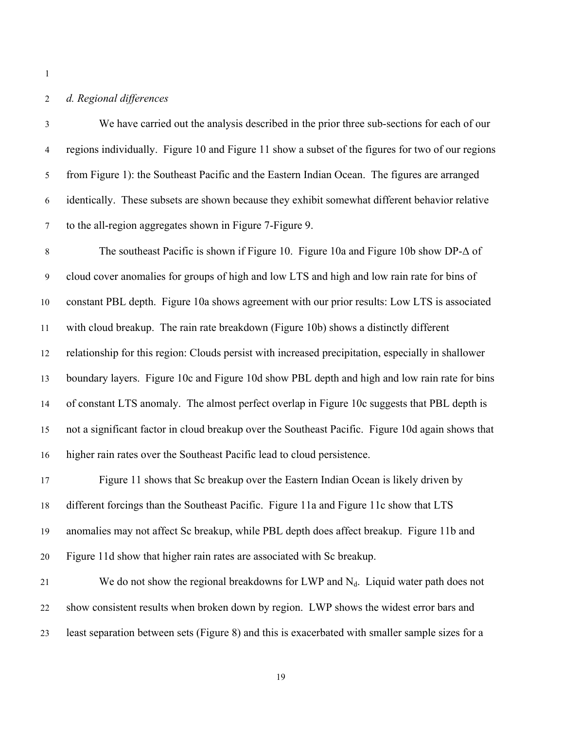## *d. Regional differences*

 We have carried out the analysis described in the prior three sub-sections for each of our regions individually. Figure 10 and Figure 11 show a subset of the figures for two of our regions from Figure 1): the Southeast Pacific and the Eastern Indian Ocean. The figures are arranged identically. These subsets are shown because they exhibit somewhat different behavior relative to the all-region aggregates shown in Figure 7-Figure 9.

 The southeast Pacific is shown if Figure 10. Figure 10a and Figure 10b show DP-Δ of cloud cover anomalies for groups of high and low LTS and high and low rain rate for bins of constant PBL depth. Figure 10a shows agreement with our prior results: Low LTS is associated with cloud breakup. The rain rate breakdown (Figure 10b) shows a distinctly different relationship for this region: Clouds persist with increased precipitation, especially in shallower boundary layers. Figure 10c and Figure 10d show PBL depth and high and low rain rate for bins of constant LTS anomaly. The almost perfect overlap in Figure 10c suggests that PBL depth is not a significant factor in cloud breakup over the Southeast Pacific. Figure 10d again shows that higher rain rates over the Southeast Pacific lead to cloud persistence.

 Figure 11 shows that Sc breakup over the Eastern Indian Ocean is likely driven by different forcings than the Southeast Pacific. Figure 11a and Figure 11c show that LTS anomalies may not affect Sc breakup, while PBL depth does affect breakup. Figure 11b and Figure 11d show that higher rain rates are associated with Sc breakup.

21 We do not show the regional breakdowns for LWP and  $N_d$ . Liquid water path does not show consistent results when broken down by region. LWP shows the widest error bars and least separation between sets (Figure 8) and this is exacerbated with smaller sample sizes for a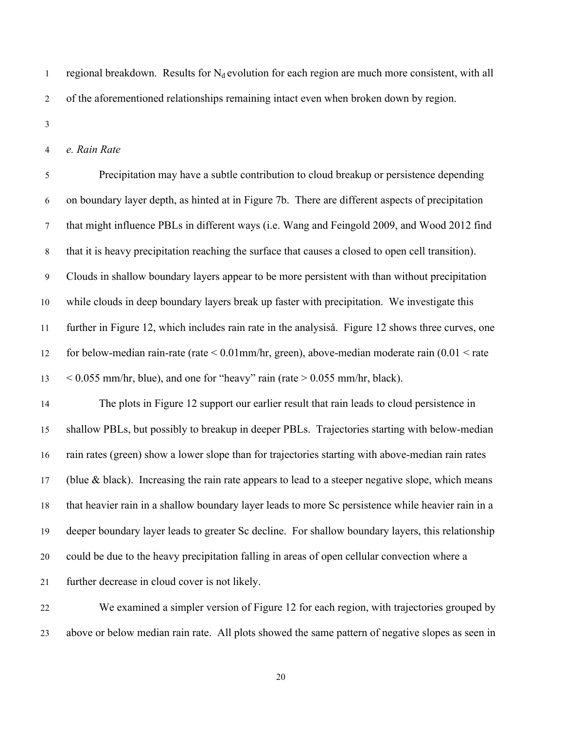1 regional breakdown. Results for  $N_d$  evolution for each region are much more consistent, with all of the aforementioned relationships remaining intact even when broken down by region.

*e. Rain Rate*

 Precipitation may have a subtle contribution to cloud breakup or persistence depending on boundary layer depth, as hinted at in Figure 7b. There are different aspects of precipitation that might influence PBLs in different ways (i.e. Wang and Feingold 2009, and Wood 2012 find that it is heavy precipitation reaching the surface that causes a closed to open cell transition). Clouds in shallow boundary layers appear to be more persistent with than without precipitation while clouds in deep boundary layers break up faster with precipitation. We investigate this further in Figure 12, which includes rain rate in the analysiså. Figure 12 shows three curves, one 12 for below-median rain-rate (rate  $\leq 0.01$  mm/hr, green), above-median moderate rain (0.01  $\leq$  rate  $\leq$  0.055 mm/hr, blue), and one for "heavy" rain (rate  $>$  0.055 mm/hr, black).

 The plots in Figure 12 support our earlier result that rain leads to cloud persistence in shallow PBLs, but possibly to breakup in deeper PBLs. Trajectories starting with below-median rain rates (green) show a lower slope than for trajectories starting with above-median rain rates 17 (blue  $\&$  black). Increasing the rain rate appears to lead to a steeper negative slope, which means that heavier rain in a shallow boundary layer leads to more Sc persistence while heavier rain in a deeper boundary layer leads to greater Sc decline. For shallow boundary layers, this relationship could be due to the heavy precipitation falling in areas of open cellular convection where a further decrease in cloud cover is not likely.

 We examined a simpler version of Figure 12 for each region, with trajectories grouped by above or below median rain rate. All plots showed the same pattern of negative slopes as seen in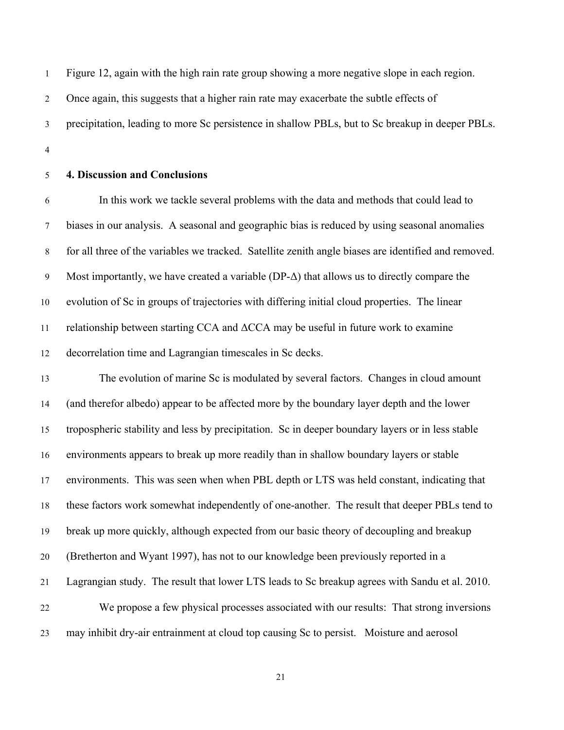Figure 12, again with the high rain rate group showing a more negative slope in each region. Once again, this suggests that a higher rain rate may exacerbate the subtle effects of precipitation, leading to more Sc persistence in shallow PBLs, but to Sc breakup in deeper PBLs.

# **4. Discussion and Conclusions**

 In this work we tackle several problems with the data and methods that could lead to biases in our analysis. A seasonal and geographic bias is reduced by using seasonal anomalies for all three of the variables we tracked. Satellite zenith angle biases are identified and removed. Most importantly, we have created a variable (DP-Δ) that allows us to directly compare the evolution of Sc in groups of trajectories with differing initial cloud properties. The linear 11 relationship between starting CCA and  $\Delta$ CCA may be useful in future work to examine decorrelation time and Lagrangian timescales in Sc decks.

 The evolution of marine Sc is modulated by several factors. Changes in cloud amount (and therefor albedo) appear to be affected more by the boundary layer depth and the lower tropospheric stability and less by precipitation. Sc in deeper boundary layers or in less stable environments appears to break up more readily than in shallow boundary layers or stable environments. This was seen when when PBL depth or LTS was held constant, indicating that these factors work somewhat independently of one-another. The result that deeper PBLs tend to break up more quickly, although expected from our basic theory of decoupling and breakup (Bretherton and Wyant 1997), has not to our knowledge been previously reported in a Lagrangian study. The result that lower LTS leads to Sc breakup agrees with Sandu et al. 2010. We propose a few physical processes associated with our results: That strong inversions may inhibit dry-air entrainment at cloud top causing Sc to persist. Moisture and aerosol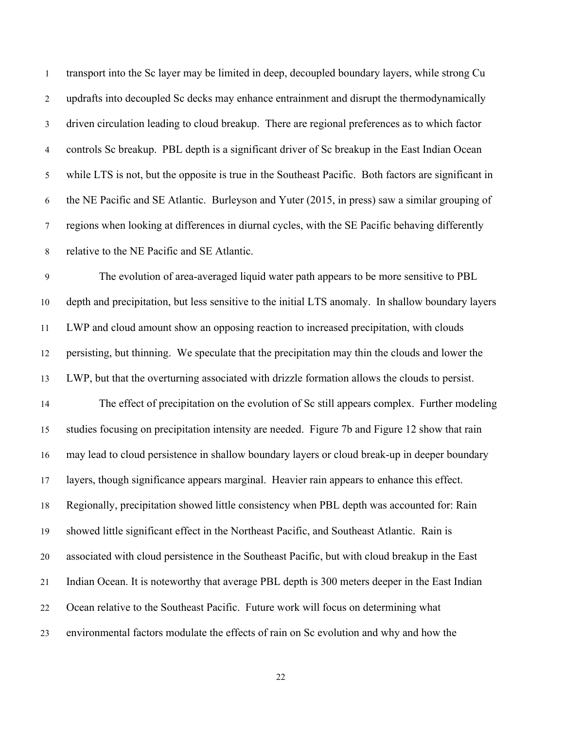transport into the Sc layer may be limited in deep, decoupled boundary layers, while strong Cu updrafts into decoupled Sc decks may enhance entrainment and disrupt the thermodynamically driven circulation leading to cloud breakup. There are regional preferences as to which factor controls Sc breakup. PBL depth is a significant driver of Sc breakup in the East Indian Ocean while LTS is not, but the opposite is true in the Southeast Pacific. Both factors are significant in the NE Pacific and SE Atlantic. Burleyson and Yuter (2015, in press) saw a similar grouping of regions when looking at differences in diurnal cycles, with the SE Pacific behaving differently relative to the NE Pacific and SE Atlantic.

 The evolution of area-averaged liquid water path appears to be more sensitive to PBL depth and precipitation, but less sensitive to the initial LTS anomaly. In shallow boundary layers LWP and cloud amount show an opposing reaction to increased precipitation, with clouds persisting, but thinning. We speculate that the precipitation may thin the clouds and lower the LWP, but that the overturning associated with drizzle formation allows the clouds to persist. The effect of precipitation on the evolution of Sc still appears complex. Further modeling studies focusing on precipitation intensity are needed. Figure 7b and Figure 12 show that rain may lead to cloud persistence in shallow boundary layers or cloud break-up in deeper boundary layers, though significance appears marginal. Heavier rain appears to enhance this effect. Regionally, precipitation showed little consistency when PBL depth was accounted for: Rain showed little significant effect in the Northeast Pacific, and Southeast Atlantic. Rain is associated with cloud persistence in the Southeast Pacific, but with cloud breakup in the East Indian Ocean. It is noteworthy that average PBL depth is 300 meters deeper in the East Indian Ocean relative to the Southeast Pacific. Future work will focus on determining what environmental factors modulate the effects of rain on Sc evolution and why and how the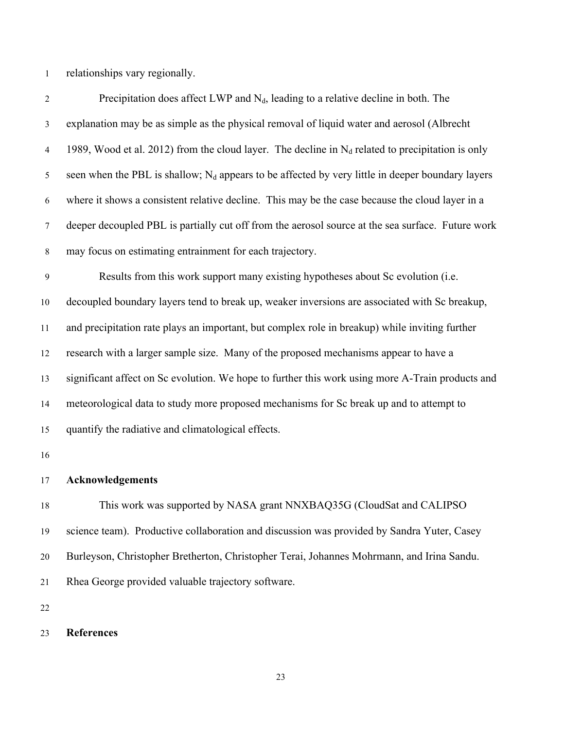relationships vary regionally.

2 Precipitation does affect LWP and  $N_d$ , leading to a relative decline in both. The explanation may be as simple as the physical removal of liquid water and aerosol (Albrecht 4 1989, Wood et al. 2012) from the cloud layer. The decline in  $N_d$  related to precipitation is only 5 seen when the PBL is shallow;  $N_d$  appears to be affected by very little in deeper boundary layers where it shows a consistent relative decline. This may be the case because the cloud layer in a deeper decoupled PBL is partially cut off from the aerosol source at the sea surface. Future work may focus on estimating entrainment for each trajectory. Results from this work support many existing hypotheses about Sc evolution (i.e. decoupled boundary layers tend to break up, weaker inversions are associated with Sc breakup, and precipitation rate plays an important, but complex role in breakup) while inviting further research with a larger sample size. Many of the proposed mechanisms appear to have a significant affect on Sc evolution. We hope to further this work using more A-Train products and meteorological data to study more proposed mechanisms for Sc break up and to attempt to quantify the radiative and climatological effects.

#### **Acknowledgements**

 This work was supported by NASA grant NNXBAQ35G (CloudSat and CALIPSO science team). Productive collaboration and discussion was provided by Sandra Yuter, Casey Burleyson, Christopher Bretherton, Christopher Terai, Johannes Mohrmann, and Irina Sandu. Rhea George provided valuable trajectory software.

#### **References**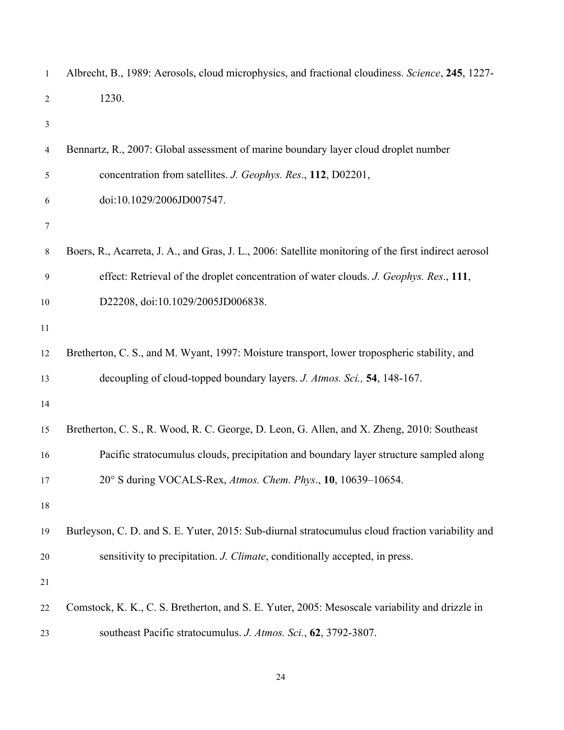| $\mathbf{1}$   | Albrecht, B., 1989: Aerosols, cloud microphysics, and fractional cloudiness. Science, 245, 1227-      |
|----------------|-------------------------------------------------------------------------------------------------------|
| $\overline{2}$ | 1230.                                                                                                 |
| 3              |                                                                                                       |
| 4              | Bennartz, R., 2007: Global assessment of marine boundary layer cloud droplet number                   |
| 5              | concentration from satellites. J. Geophys. Res., 112, D02201,                                         |
| 6              | doi:10.1029/2006JD007547.                                                                             |
| 7              |                                                                                                       |
| 8              | Boers, R., Acarreta, J. A., and Gras, J. L., 2006: Satellite monitoring of the first indirect aerosol |
| 9              | effect: Retrieval of the droplet concentration of water clouds. J. Geophys. Res., 111,                |
| 10             | D22208, doi:10.1029/2005JD006838.                                                                     |
| 11             |                                                                                                       |
| 12             | Bretherton, C. S., and M. Wyant, 1997: Moisture transport, lower tropospheric stability, and          |
| 13             | decoupling of cloud-topped boundary layers. J. Atmos. Sci., 54, 148-167.                              |
| 14             |                                                                                                       |
| 15             | Bretherton, C. S., R. Wood, R. C. George, D. Leon, G. Allen, and X. Zheng, 2010: Southeast            |
| 16             | Pacific stratocumulus clouds, precipitation and boundary layer structure sampled along                |
| 17             | 20° S during VOCALS-Rex, Atmos. Chem. Phys., 10, 10639–10654.                                         |
| $18\,$         |                                                                                                       |
| 19             | Burleyson, C. D. and S. E. Yuter, 2015: Sub-diurnal stratocumulus cloud fraction variability and      |
| 20             | sensitivity to precipitation. J. Climate, conditionally accepted, in press.                           |
| 21             |                                                                                                       |
| 22             | Comstock, K. K., C. S. Bretherton, and S. E. Yuter, 2005: Mesoscale variability and drizzle in        |
| 23             | southeast Pacific stratocumulus. J. Atmos. Sci., 62, 3792-3807.                                       |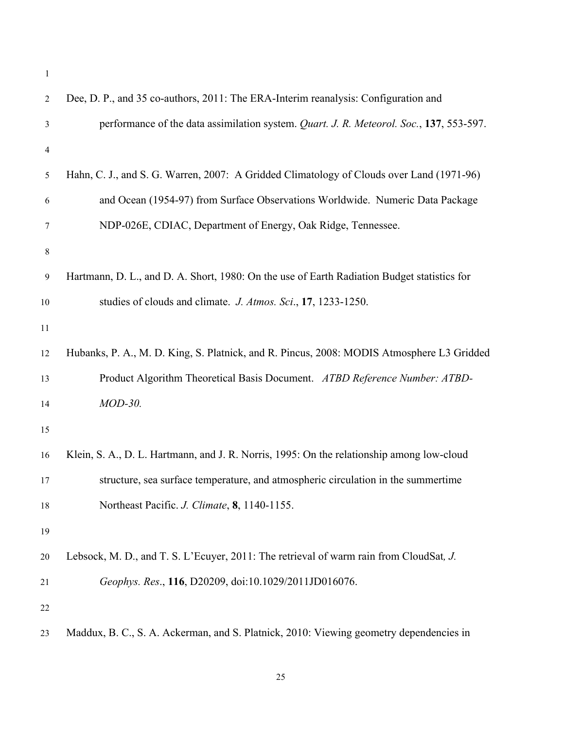| 2              | Dee, D. P., and 35 co-authors, 2011: The ERA-Interim reanalysis: Configuration and          |
|----------------|---------------------------------------------------------------------------------------------|
| 3              | performance of the data assimilation system. Quart. J. R. Meteorol. Soc., 137, 553-597.     |
| $\overline{4}$ |                                                                                             |
| 5              | Hahn, C. J., and S. G. Warren, 2007: A Gridded Climatology of Clouds over Land (1971-96)    |
| 6              | and Ocean (1954-97) from Surface Observations Worldwide. Numeric Data Package               |
| 7              | NDP-026E, CDIAC, Department of Energy, Oak Ridge, Tennessee.                                |
| $\,8\,$        |                                                                                             |
| 9              | Hartmann, D. L., and D. A. Short, 1980: On the use of Earth Radiation Budget statistics for |
| 10             | studies of clouds and climate. J. Atmos. Sci., 17, 1233-1250.                               |
| 11             |                                                                                             |
| 12             | Hubanks, P. A., M. D. King, S. Platnick, and R. Pincus, 2008: MODIS Atmosphere L3 Gridded   |
| 13             | Product Algorithm Theoretical Basis Document. ATBD Reference Number: ATBD-                  |
| 14             | MOD-30.                                                                                     |
| 15             |                                                                                             |
| 16             | Klein, S. A., D. L. Hartmann, and J. R. Norris, 1995: On the relationship among low-cloud   |
| 17             | structure, sea surface temperature, and atmospheric circulation in the summertime           |
| 18             | Northeast Pacific. J. Climate, 8, 1140-1155.                                                |
| 19             |                                                                                             |
| 20             | Lebsock, M. D., and T. S. L'Ecuyer, 2011: The retrieval of warm rain from CloudSat, J.      |
| 21             | Geophys. Res., 116, D20209, doi:10.1029/2011JD016076.                                       |
| 22             |                                                                                             |
| 23             | Maddux, B. C., S. A. Ackerman, and S. Platnick, 2010: Viewing geometry dependencies in      |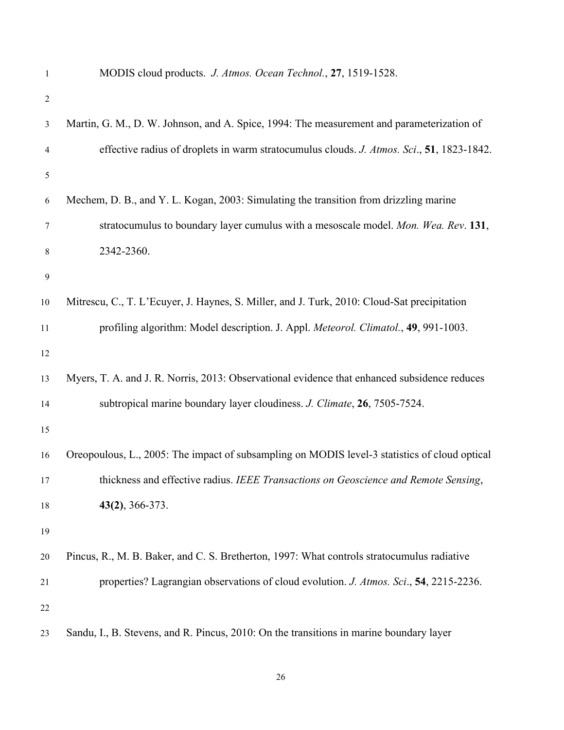| $\mathbf{1}$   | MODIS cloud products. J. Atmos. Ocean Technol., 27, 1519-1528.                                |
|----------------|-----------------------------------------------------------------------------------------------|
| $\overline{2}$ |                                                                                               |
| $\mathfrak{Z}$ | Martin, G. M., D. W. Johnson, and A. Spice, 1994: The measurement and parameterization of     |
| 4              | effective radius of droplets in warm stratocumulus clouds. J. Atmos. Sci., 51, 1823-1842.     |
| 5              |                                                                                               |
| 6              | Mechem, D. B., and Y. L. Kogan, 2003: Simulating the transition from drizzling marine         |
| 7              | stratocumulus to boundary layer cumulus with a mesoscale model. Mon. Wea. Rev. 131,           |
| 8              | 2342-2360.                                                                                    |
| $\overline{9}$ |                                                                                               |
| 10             | Mitrescu, C., T. L'Ecuyer, J. Haynes, S. Miller, and J. Turk, 2010: Cloud-Sat precipitation   |
| 11             | profiling algorithm: Model description. J. Appl. Meteorol. Climatol., 49, 991-1003.           |
| 12             |                                                                                               |
| 13             | Myers, T. A. and J. R. Norris, 2013: Observational evidence that enhanced subsidence reduces  |
| 14             | subtropical marine boundary layer cloudiness. J. Climate, 26, 7505-7524.                      |
| 15             |                                                                                               |
| 16             | Oreopoulous, L., 2005: The impact of subsampling on MODIS level-3 statistics of cloud optical |
| 17             | thickness and effective radius. IEEE Transactions on Geoscience and Remote Sensing,           |
| 18             | $43(2)$ , 366-373.                                                                            |
| 19             |                                                                                               |
| 20             | Pincus, R., M. B. Baker, and C. S. Bretherton, 1997: What controls stratocumulus radiative    |
| 21             | properties? Lagrangian observations of cloud evolution. J. Atmos. Sci., 54, 2215-2236.        |
| 22             |                                                                                               |
| 23             | Sandu, I., B. Stevens, and R. Pincus, 2010: On the transitions in marine boundary layer       |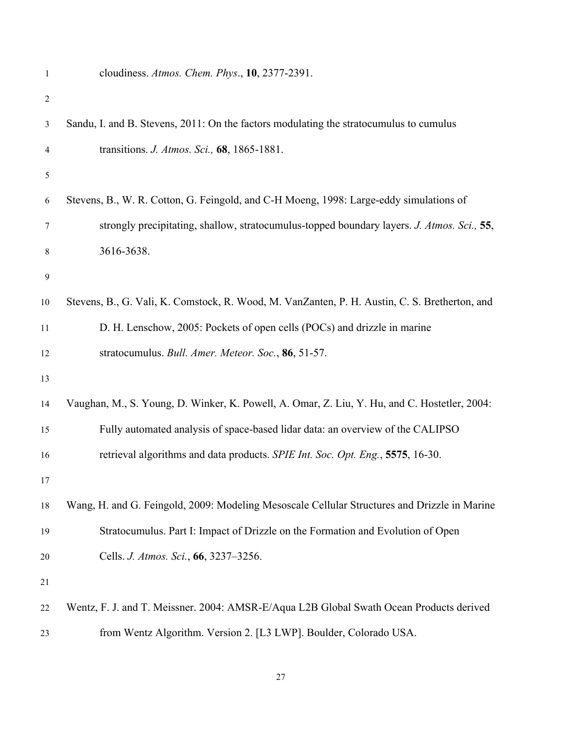|  | cloudiness. Atmos. Chem. Phys., $10$ , 2377-2391. |
|--|---------------------------------------------------|
|--|---------------------------------------------------|

| $\overline{c}$ |                                                                                               |
|----------------|-----------------------------------------------------------------------------------------------|
| 3              | Sandu, I. and B. Stevens, 2011: On the factors modulating the stratocumulus to cumulus        |
| 4              | transitions. J. Atmos. Sci., 68, 1865-1881.                                                   |
| 5              |                                                                                               |
| 6              | Stevens, B., W. R. Cotton, G. Feingold, and C-H Moeng, 1998: Large-eddy simulations of        |
| 7              | strongly precipitating, shallow, stratocumulus-topped boundary layers. J. Atmos. Sci., 55,    |
| 8              | 3616-3638.                                                                                    |
| 9              |                                                                                               |
| 10             | Stevens, B., G. Vali, K. Comstock, R. Wood, M. VanZanten, P. H. Austin, C. S. Bretherton, and |
| 11             | D. H. Lenschow, 2005: Pockets of open cells (POCs) and drizzle in marine                      |
| 12             | stratocumulus. Bull. Amer. Meteor. Soc., 86, 51-57.                                           |
| 13             |                                                                                               |
| 14             | Vaughan, M., S. Young, D. Winker, K. Powell, A. Omar, Z. Liu, Y. Hu, and C. Hostetler, 2004:  |
| 15             | Fully automated analysis of space-based lidar data: an overview of the CALIPSO                |
| 16             | retrieval algorithms and data products. SPIE Int. Soc. Opt. Eng., 5575, 16-30.                |
| 17             |                                                                                               |
| 18             | Wang, H. and G. Feingold, 2009: Modeling Mesoscale Cellular Structures and Drizzle in Marine  |
| 19             | Stratocumulus. Part I: Impact of Drizzle on the Formation and Evolution of Open               |
| 20             | Cells. J. Atmos. Sci., 66, 3237–3256.                                                         |
| 21             |                                                                                               |
| 22             | Wentz, F. J. and T. Meissner. 2004: AMSR-E/Aqua L2B Global Swath Ocean Products derived       |
| 23             | from Wentz Algorithm. Version 2. [L3 LWP]. Boulder, Colorado USA.                             |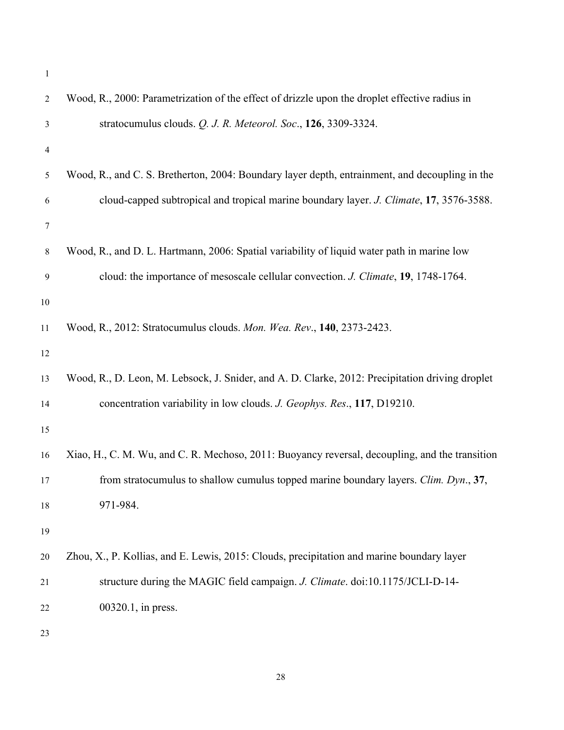| $\overline{2}$ | Wood, R., 2000: Parametrization of the effect of drizzle upon the droplet effective radius in   |
|----------------|-------------------------------------------------------------------------------------------------|
| 3              | stratocumulus clouds. Q. J. R. Meteorol. Soc., 126, 3309-3324.                                  |
| 4              |                                                                                                 |
| 5              | Wood, R., and C. S. Bretherton, 2004: Boundary layer depth, entrainment, and decoupling in the  |
| 6              | cloud-capped subtropical and tropical marine boundary layer. J. Climate, 17, 3576-3588.         |
| 7              |                                                                                                 |
| $8\,$          | Wood, R., and D. L. Hartmann, 2006: Spatial variability of liquid water path in marine low      |
| 9              | cloud: the importance of mesoscale cellular convection. J. Climate, 19, 1748-1764.              |
| 10             |                                                                                                 |
| 11             | Wood, R., 2012: Stratocumulus clouds. Mon. Wea. Rev., 140, 2373-2423.                           |
| 12             |                                                                                                 |
| 13             | Wood, R., D. Leon, M. Lebsock, J. Snider, and A. D. Clarke, 2012: Precipitation driving droplet |
| 14             | concentration variability in low clouds. J. Geophys. Res., 117, D19210.                         |
| 15             |                                                                                                 |
| 16             | Xiao, H., C. M. Wu, and C. R. Mechoso, 2011: Buoyancy reversal, decoupling, and the transition  |
| 17             | from stratocumulus to shallow cumulus topped marine boundary layers. Clim. Dyn., 37,            |
| 18             | 971-984.                                                                                        |
| 19             |                                                                                                 |
| 20             | Zhou, X., P. Kollias, and E. Lewis, 2015: Clouds, precipitation and marine boundary layer       |
| 21             | structure during the MAGIC field campaign. J. Climate. doi:10.1175/JCLI-D-14-                   |
| 22             | 00320.1, in press.                                                                              |
| 23             |                                                                                                 |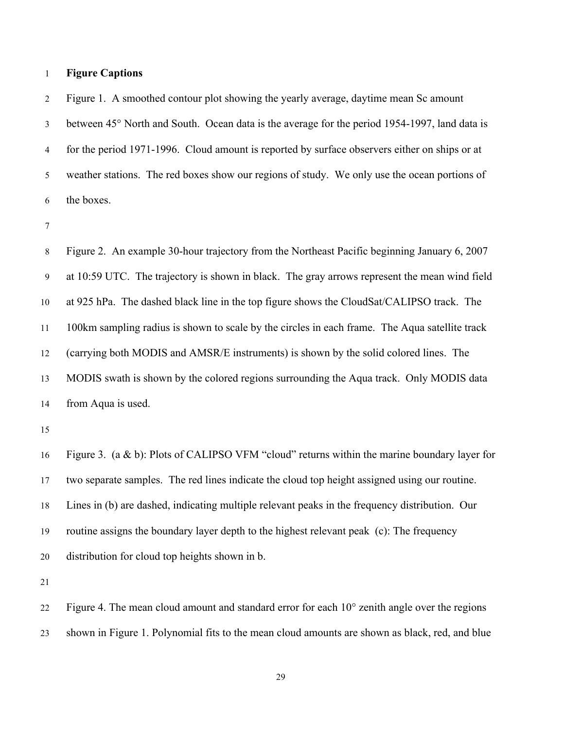## **Figure Captions**

 Figure 1. A smoothed contour plot showing the yearly average, daytime mean Sc amount between 45° North and South. Ocean data is the average for the period 1954-1997, land data is for the period 1971-1996. Cloud amount is reported by surface observers either on ships or at weather stations. The red boxes show our regions of study. We only use the ocean portions of the boxes.

 Figure 2. An example 30-hour trajectory from the Northeast Pacific beginning January 6, 2007 at 10:59 UTC. The trajectory is shown in black. The gray arrows represent the mean wind field at 925 hPa. The dashed black line in the top figure shows the CloudSat/CALIPSO track. The 100km sampling radius is shown to scale by the circles in each frame. The Aqua satellite track (carrying both MODIS and AMSR/E instruments) is shown by the solid colored lines. The MODIS swath is shown by the colored regions surrounding the Aqua track. Only MODIS data from Aqua is used.

 Figure 3. (a & b): Plots of CALIPSO VFM "cloud" returns within the marine boundary layer for two separate samples. The red lines indicate the cloud top height assigned using our routine. Lines in (b) are dashed, indicating multiple relevant peaks in the frequency distribution. Our routine assigns the boundary layer depth to the highest relevant peak (c): The frequency distribution for cloud top heights shown in b.

 Figure 4. The mean cloud amount and standard error for each 10° zenith angle over the regions shown in Figure 1. Polynomial fits to the mean cloud amounts are shown as black, red, and blue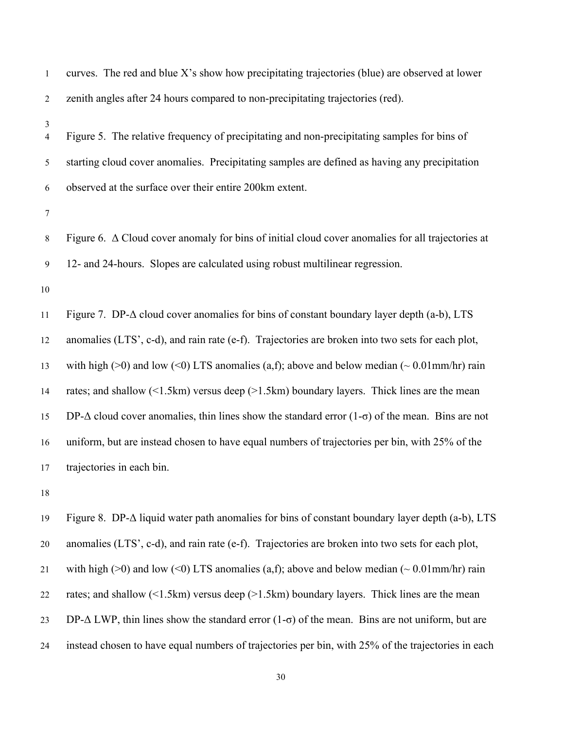| $\mathbf{1}$        | curves. The red and blue X's show how precipitating trajectories (blue) are observed at lower                          |
|---------------------|------------------------------------------------------------------------------------------------------------------------|
| $\overline{2}$      | zenith angles after 24 hours compared to non-precipitating trajectories (red).                                         |
| 3<br>$\overline{4}$ | Figure 5. The relative frequency of precipitating and non-precipitating samples for bins of                            |
| 5                   | starting cloud cover anomalies. Precipitating samples are defined as having any precipitation                          |
| 6                   | observed at the surface over their entire 200km extent.                                                                |
| $\tau$              |                                                                                                                        |
| $8\,$               | Figure 6. $\Delta$ Cloud cover anomaly for bins of initial cloud cover anomalies for all trajectories at               |
| $\overline{9}$      | 12- and 24-hours. Slopes are calculated using robust multilinear regression.                                           |
| $10\,$              |                                                                                                                        |
|                     |                                                                                                                        |
| 11                  | Figure 7. DP- $\Delta$ cloud cover anomalies for bins of constant boundary layer depth (a-b), LTS                      |
| 12                  | anomalies (LTS', c-d), and rain rate (e-f). Trajectories are broken into two sets for each plot,                       |
| 13                  | with high (>0) and low (<0) LTS anomalies (a,f); above and below median ( $\sim 0.01$ mm/hr) rain                      |
| 14                  | rates; and shallow $(\leq 1.5 \text{km})$ versus deep $(\geq 1.5 \text{km})$ boundary layers. Thick lines are the mean |
| 15                  | DP- $\Delta$ cloud cover anomalies, thin lines show the standard error (1- $\sigma$ ) of the mean. Bins are not        |
| 16                  | uniform, but are instead chosen to have equal numbers of trajectories per bin, with 25% of the                         |
| 17                  | trajectories in each bin.                                                                                              |

 Figure 8. DP-Δ liquid water path anomalies for bins of constant boundary layer depth (a-b), LTS anomalies (LTS', c-d), and rain rate (e-f). Trajectories are broken into two sets for each plot, 21 with high (>0) and low (<0) LTS anomalies (a,f); above and below median ( $\sim 0.01$ mm/hr) rain 22 rates; and shallow (<1.5km) versus deep (>1.5km) boundary layers. Thick lines are the mean 23 DP- $\Delta$  LWP, thin lines show the standard error (1- $\sigma$ ) of the mean. Bins are not uniform, but are instead chosen to have equal numbers of trajectories per bin, with 25% of the trajectories in each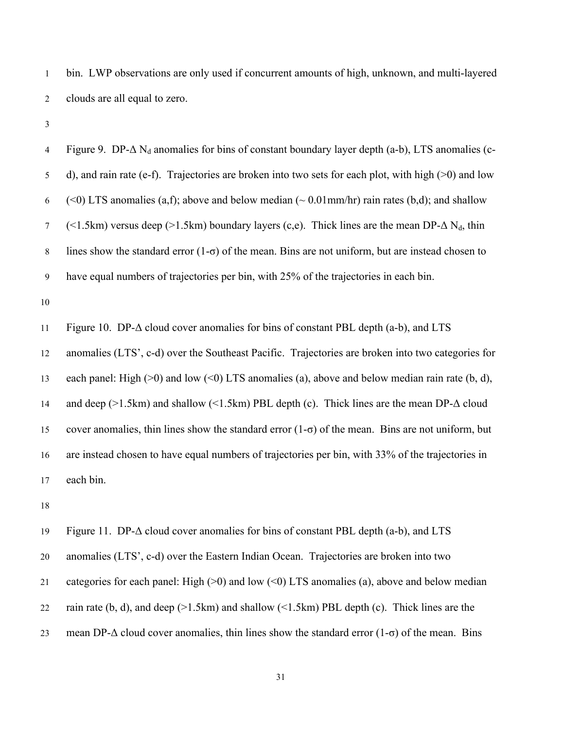bin. LWP observations are only used if concurrent amounts of high, unknown, and multi-layered clouds are all equal to zero.

4 Figure 9. DP- $\Delta$  N<sub>d</sub> anomalies for bins of constant boundary layer depth (a-b), LTS anomalies (c- d), and rain rate (e-f). Trajectories are broken into two sets for each plot, with high (>0) and low 6 (<0) LTS anomalies (a,f); above and below median ( $\sim 0.01$  mm/hr) rain rates (b,d); and shallow 7 (<1.5km) versus deep (>1.5km) boundary layers (c,e). Thick lines are the mean DP- $\Delta N_d$ , thin 8 lines show the standard error  $(1-\sigma)$  of the mean. Bins are not uniform, but are instead chosen to have equal numbers of trajectories per bin, with 25% of the trajectories in each bin. 

Figure 10. DP-Δ cloud cover anomalies for bins of constant PBL depth (a-b), and LTS

anomalies (LTS', c-d) over the Southeast Pacific. Trajectories are broken into two categories for

13 each panel: High ( $>0$ ) and low ( $\leq 0$ ) LTS anomalies (a), above and below median rain rate (b, d),

 and deep (>1.5km) and shallow (<1.5km) PBL depth (c). Thick lines are the mean DP-Δ cloud 15 cover anomalies, thin lines show the standard error  $(1-\sigma)$  of the mean. Bins are not uniform, but are instead chosen to have equal numbers of trajectories per bin, with 33% of the trajectories in each bin.

Figure 11. DP-Δ cloud cover anomalies for bins of constant PBL depth (a-b), and LTS

anomalies (LTS', c-d) over the Eastern Indian Ocean. Trajectories are broken into two

21 categories for each panel: High  $(>0)$  and low  $(<0)$  LTS anomalies (a), above and below median

22 rain rate  $(b, d)$ , and deep  $(>1.5km)$  and shallow  $(<1.5km)$  PBL depth  $(c)$ . Thick lines are the

23 mean DP- $\Delta$  cloud cover anomalies, thin lines show the standard error (1- $\sigma$ ) of the mean. Bins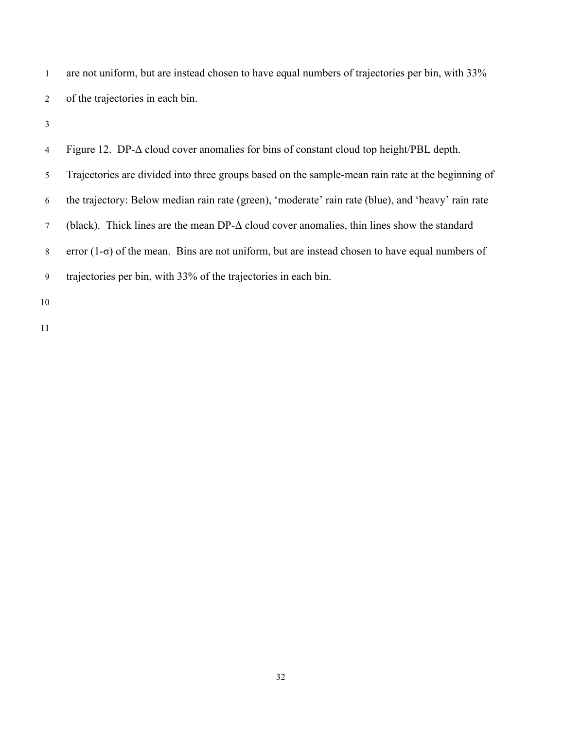are not uniform, but are instead chosen to have equal numbers of trajectories per bin, with 33% of the trajectories in each bin.

 Figure 12. DP-Δ cloud cover anomalies for bins of constant cloud top height/PBL depth. Trajectories are divided into three groups based on the sample-mean rain rate at the beginning of the trajectory: Below median rain rate (green), 'moderate' rain rate (blue), and 'heavy' rain rate (black). Thick lines are the mean DP-Δ cloud cover anomalies, thin lines show the standard error (1-σ) of the mean. Bins are not uniform, but are instead chosen to have equal numbers of trajectories per bin, with 33% of the trajectories in each bin.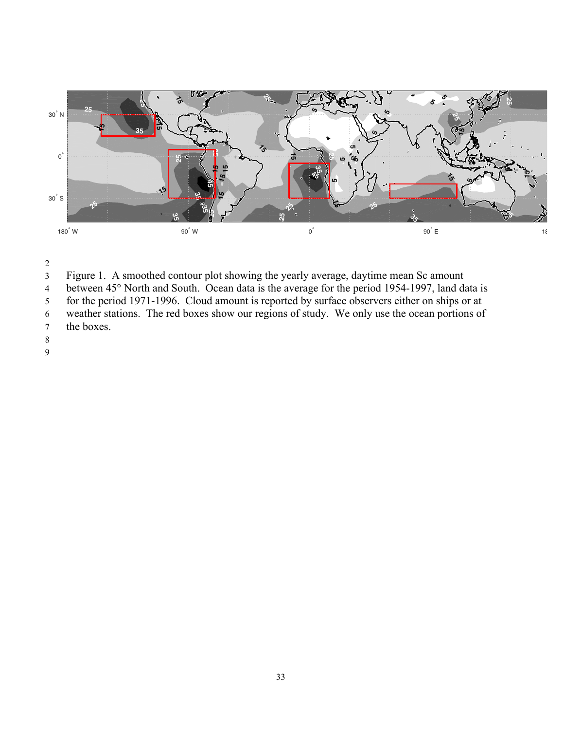

- Figure 1. A smoothed contour plot showing the yearly average, daytime mean Sc amount
- between 45° North and South. Ocean data is the average for the period 1954-1997, land data is
- for the period 1971-1996. Cloud amount is reported by surface observers either on ships or at
- 6 weather stations. The red boxes show our regions of study. We only use the ocean portions of the boxes.
- the boxes.
- 
-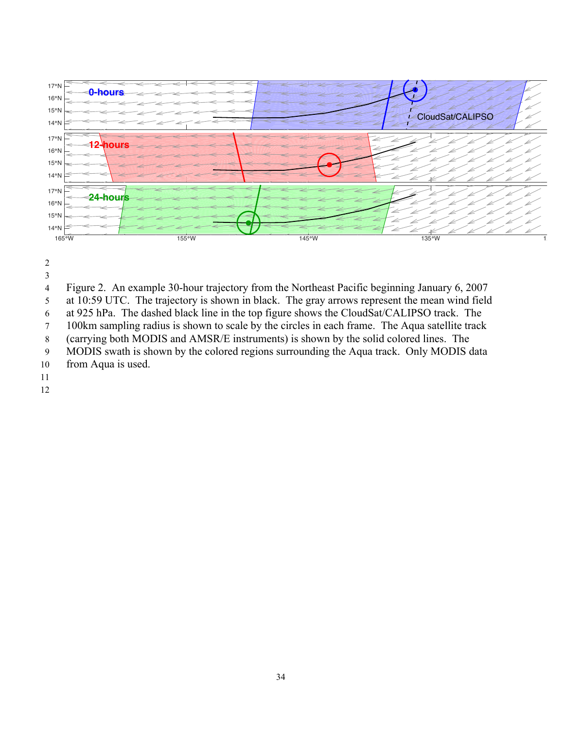

- 
- 

Figure 2. An example 30-hour trajectory from the Northeast Pacific beginning January 6, 2007

at 10:59 UTC. The trajectory is shown in black. The gray arrows represent the mean wind field

at 925 hPa. The dashed black line in the top figure shows the CloudSat/CALIPSO track. The

100km sampling radius is shown to scale by the circles in each frame. The Aqua satellite track

(carrying both MODIS and AMSR/E instruments) is shown by the solid colored lines. The

MODIS swath is shown by the colored regions surrounding the Aqua track. Only MODIS data

- from Aqua is used.
-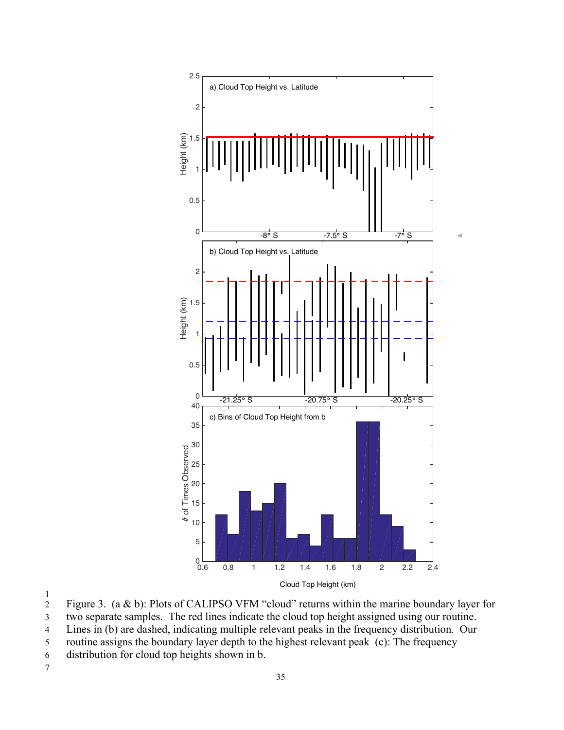

 $\frac{1}{2}$ 

Figure 3. (a & b): Plots of CALIPSO VFM "cloud" returns within the marine boundary layer for 3 two separate samples. The red lines indicate the cloud top height assigned using our routine.

4 Lines in (b) are dashed, indicating multiple relevant peaks in the frequency distribution. Our

5 routine assigns the boundary layer depth to the highest relevant peak (c): The frequency

- 6 distribution for cloud top heights shown in b.
- 7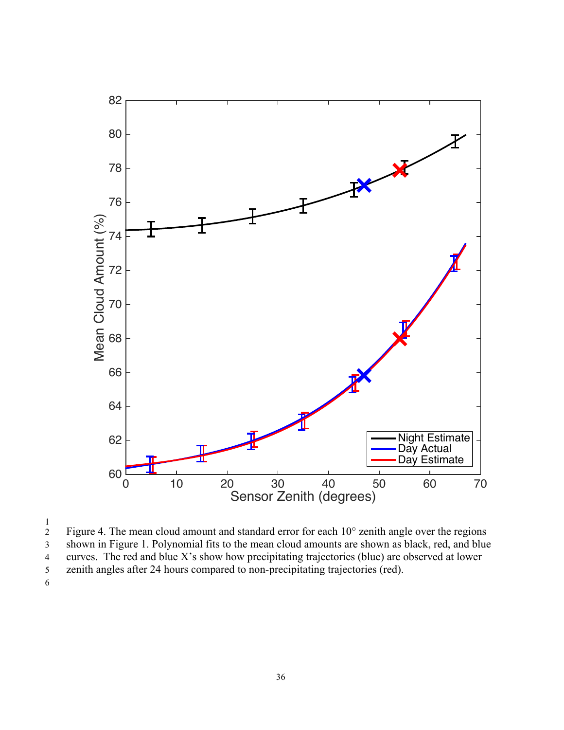

 $\frac{1}{2}$  Figure 4. The mean cloud amount and standard error for each 10° zenith angle over the regions shown in Figure 1. Polynomial fits to the mean cloud amounts are shown as black, red, and blue curves. The red and blue X's show how precipitating trajectories (blue) are observed at lower

zenith angles after 24 hours compared to non-precipitating trajectories (red).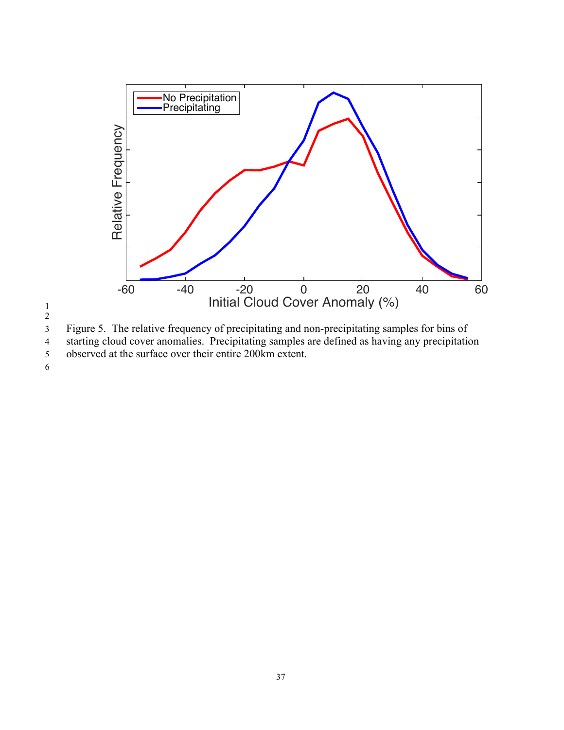



3 Figure 5. The relative frequency of precipitating and non-precipitating samples for bins of starting cloud cover anomalies. Precipitating samples are defined as having any precipitation starting cloud cover anomalies. Precipitating samples are defined as having any precipitation 5 observed at the surface over their entire 200km extent.

6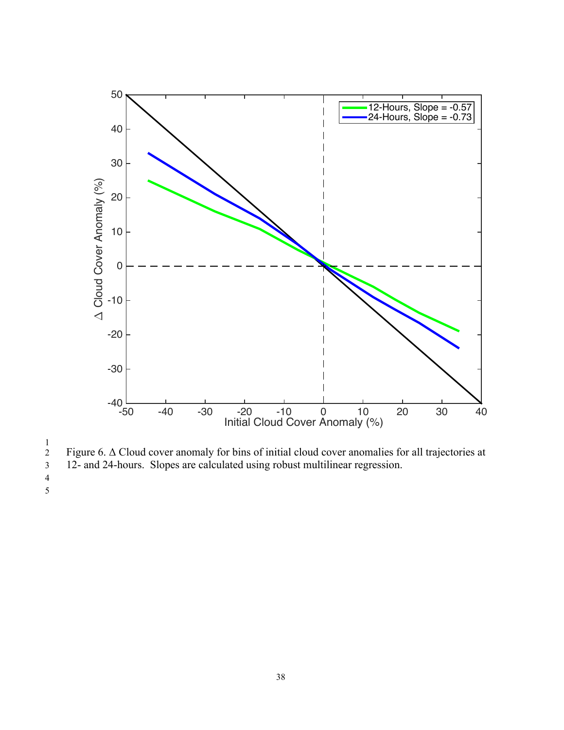

 $\frac{1}{2}$ 2 Figure 6.  $\Delta$  Cloud cover anomaly for bins of initial cloud cover anomalies for all trajectories at 12- and 24-hours. Slopes are calculated using robust multilinear regression.

3 12- and 24-hours. Slopes are calculated using robust multilinear regression.

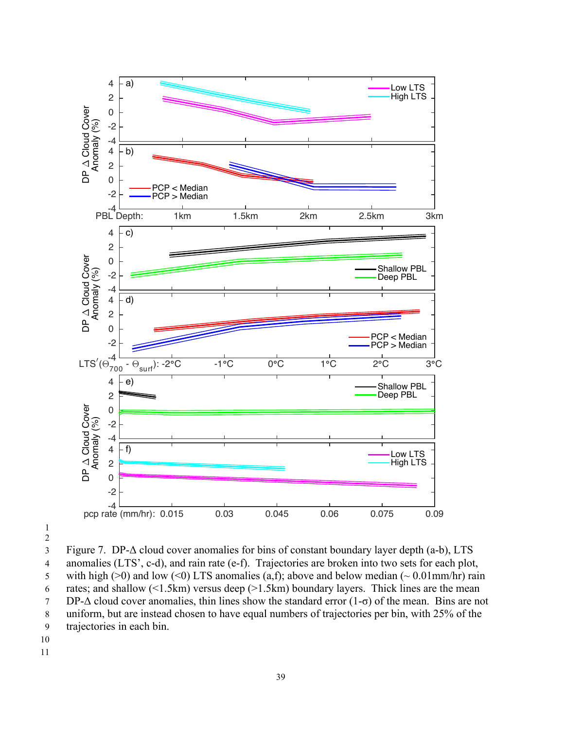

3 Figure 7. DP-Δ cloud cover anomalies for bins of constant boundary layer depth (a-b), LTS 4 anomalies (LTS', c-d), and rain rate (e-f). Trajectories are broken into two sets for each plot, 5 with high ( $>0$ ) and low ( $\leq 0$ ) LTS anomalies (a,f); above and below median ( $\sim 0.01$ mm/hr) rain 6 rates; and shallow  $(1.5km)$  versus deep  $(>1.5km)$  boundary layers. Thick lines are the mean 7 DP- $\Delta$  cloud cover anomalies, thin lines show the standard error (1- $\sigma$ ) of the mean. Bins are not 8 uniform, but are instead chosen to have equal numbers of trajectories per bin, with 25% of the 9 trajectories in each bin.

- 10
- 11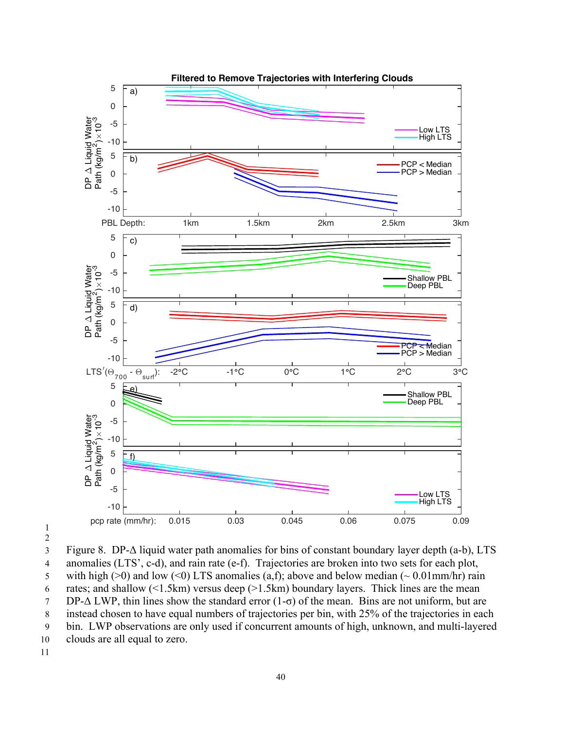



3 Figure 8. DP-Δ liquid water path anomalies for bins of constant boundary layer depth (a-b), LTS 4 anomalies (LTS', c-d), and rain rate (e-f). Trajectories are broken into two sets for each plot, 5 with high ( $>0$ ) and low ( $\leq 0$ ) LTS anomalies (a,f); above and below median ( $\sim 0.01$ mm/hr) rain 6 rates; and shallow  $(1.5km)$  versus deep  $(21.5km)$  boundary layers. Thick lines are the mean  $7 \quad \text{DP-}\Delta \text{ LWP}$ , thin lines show the standard error  $(1-\sigma)$  of the mean. Bins are not uniform, but are 8 instead chosen to have equal numbers of trajectories per bin, with 25% of the trajectories in each 9 bin. LWP observations are only used if concurrent amounts of high, unknown, and multi-layered 10 clouds are all equal to zero. 11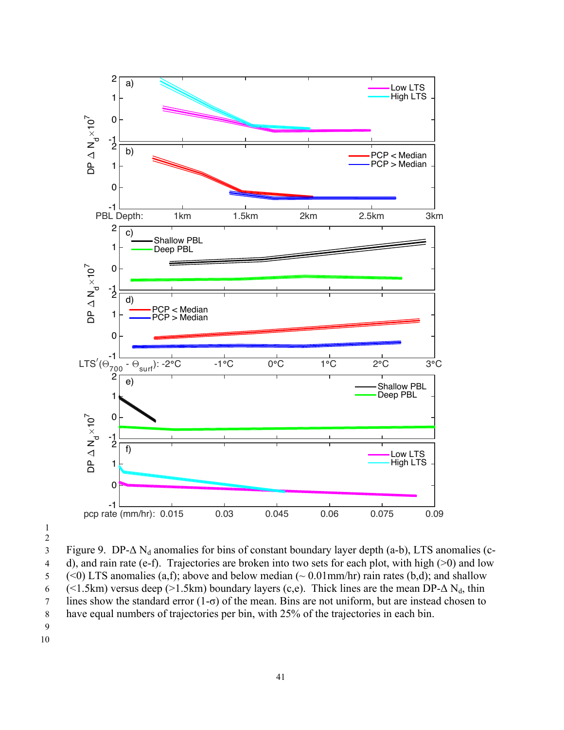

3 Figure 9. DP- $\Delta$  N<sub>d</sub> anomalies for bins of constant boundary layer depth (a-b), LTS anomalies (c-4 d), and rain rate (e-f). Trajectories are broken into two sets for each plot, with high (>0) and low 5 (<0) LTS anomalies (a,f); above and below median ( $\sim 0.01$  mm/hr) rain rates (b,d); and shallow 6 (<1.5km) versus deep (>1.5km) boundary layers (c,e). Thick lines are the mean DP- $\Delta N_d$ , thin 7 lines show the standard error (1-σ) of the mean. Bins are not uniform, but are instead chosen to 8 have equal numbers of trajectories per bin, with 25% of the trajectories in each bin.

- 9
- 10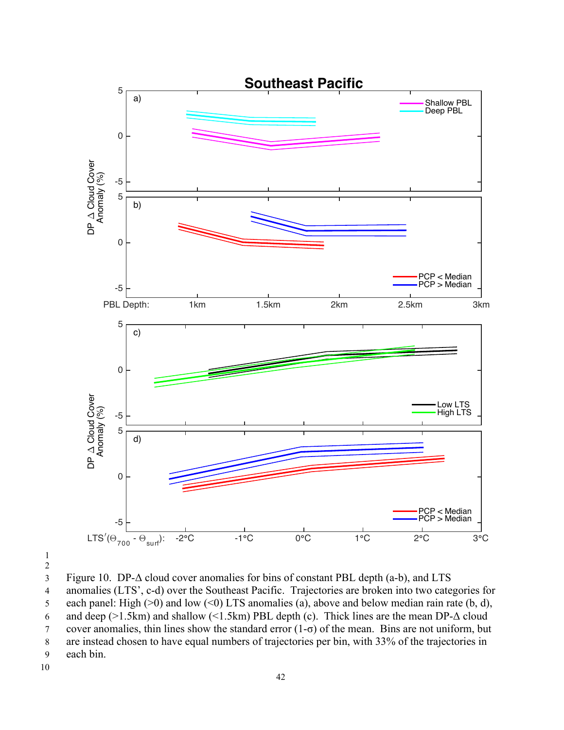



3 Figure 10. DP-Δ cloud cover anomalies for bins of constant PBL depth (a-b), and LTS 4 anomalies (LTS', c-d) over the Southeast Pacific. Trajectories are broken into two categories for 5 each panel: High ( $>0$ ) and low ( $\leq 0$ ) LTS anomalies (a), above and below median rain rate (b, d), 6 and deep ( $>1.5$ km) and shallow ( $<1.5$ km) PBL depth (c). Thick lines are the mean DP- $\Delta$  cloud 7 cover anomalies, thin lines show the standard error (1-σ) of the mean. Bins are not uniform, but 8 are instead chosen to have equal numbers of trajectories per bin, with 33% of the trajectories in 9 each bin.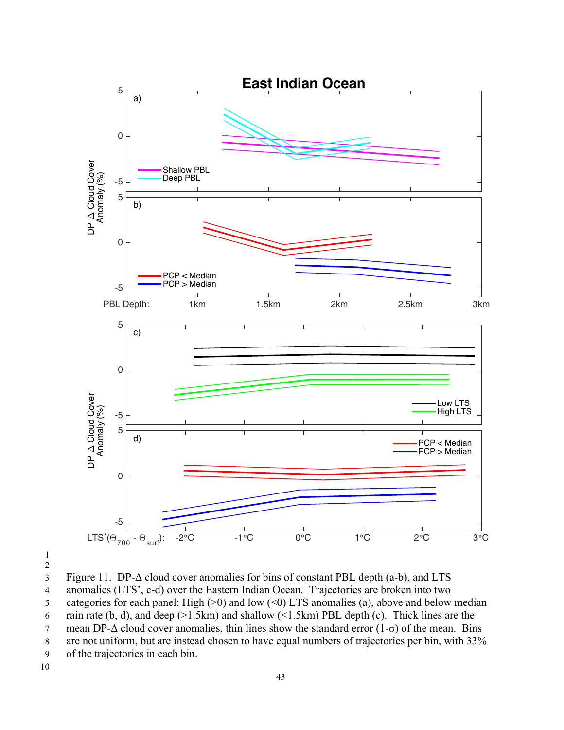

3 Figure 11. DP-Δ cloud cover anomalies for bins of constant PBL depth (a-b), and LTS 4 anomalies (LTS', c-d) over the Eastern Indian Ocean. Trajectories are broken into two 5 categories for each panel: High  $(>0)$  and low  $(<0)$  LTS anomalies (a), above and below median 6 rain rate (b, d), and deep ( $>1.5$ km) and shallow ( $<1.5$ km) PBL depth (c). Thick lines are the 7 mean DP- $\Delta$  cloud cover anomalies, thin lines show the standard error (1- $\sigma$ ) of the mean. Bins 8 are not uniform, but are instead chosen to have equal numbers of trajectories per bin, with 33% 9 of the trajectories in each bin.